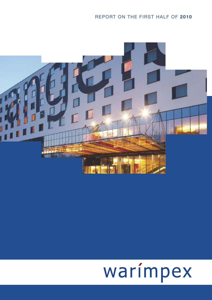# REPORT ON THE FIRST HALF OF **2010**



# warímpex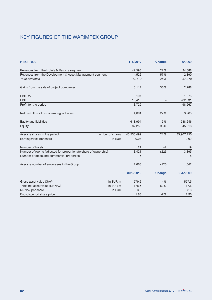# KEY FIGURES OF THE WARIMPEX GROUP

| in EUR '000                                                     | $1 - 6/2010$ | <b>Change</b> | $1 - 6/2009$ |
|-----------------------------------------------------------------|--------------|---------------|--------------|
| Revenues from the Hotels & Resorts segment                      | 42,593       | 22%           | 34,888       |
| Revenues from the Development & Asset Management segment        | 4,526        | 57%           | 2,890        |
| <b>Total revenues</b>                                           | 47,119       | 25%           | 37,778       |
| Gains from the sale of project companies                        | 3,117        | 36%           | 2,288        |
| <b>EBITDA</b>                                                   | 9,197        |               | $-1,875$     |
| <b>EBIT</b>                                                     | 13,416       |               | $-82,631$    |
| Profit for the period                                           | 3,729        |               | $-98,567$    |
| Net cash flows from operating activities                        | 4,601        | 22%           | 3,765        |
| Equity and liabilities                                          | 618,994      | 5%            | 588,246      |
| Equity                                                          | 87,258       | 93%           | 45,218       |
| number of shares<br>Average shares in the period                | 43,533,499   | 21%           | 35,967,750   |
| Earnings/loss per share<br>in EUR                               | 0.08         |               | $-2.62$      |
| Number of hotels                                                | 21           | $+2$          | 19           |
| Number of rooms (adjusted for proportionate share of ownership) | 3,421        | $+226$        | 3,195        |
| Number of office and commercial properties                      | 5            |               | 5            |
| Average number of employees in the Group                        | 1,668        | $+126$        | 1,542        |
|                                                                 | 30/6/2010    | <b>Change</b> | 30/6/2009    |
| in EUR m<br>Gross asset value (GAV)                             | 579.2        | 4%            | 557.5        |
| Triple net asset value (NNNAV)<br>in EUR m                      | 178.5        | 52%           | 117.6        |
| NNNAV per share<br>in EUR                                       | 3.3          |               | 3.3          |
| End-of-period share price                                       | 1.83         | $-7%$         | 1.96         |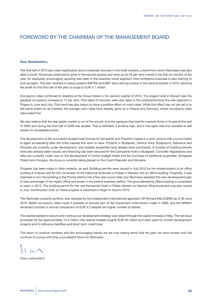# FOREWORD BY THE CHAIRMAN OF THE MANAGEMENT BOARD

### **Dear Shareholders,**

The first half of 2010 saw clear stabilization and a moderate recovery in the hotel industry, a trend from which Warimpex was also able to profit. Revenues continued to grow in the second quarter and were up by 25 per cent overall in the first six months of the year. An especially encouraging upswing was seen in the business travel segment, and conference business is also starting to pick up again. This also resulted in clearly positive EBITDA and EBIT and a strong surplus in the second quarter of 2010, allowing the profit for the first half of the year to surge to EUR 3.7 million.

Occupancy rates continued to stabilize at the Group hotels in the second quarter of 2010. The angelo hotel in Munich saw the greatest occupancy increase at 12 per cent. First signs of recovery were also seen in the underperforming five-star segment in Prague in June and July. This trend has also begun to have a positive effect on room rates. While this effect has not yet set in to the same extent on all markets, the average room rates have already gone up in Poland and Germany, where occupancy rates rebounded first.

We also believe that the real estate market is out of the woods, and the paralysis that had the markets firmly in its grip at the end of 2008 and during the first half of 2009 has abated. That is definitely a positive sign, and it has again become possible to sell assets for acceptable prices.

The development of the successful budget hotel brands of Campanile and Première Classe in a joint venture with Louvre Hotels is again accelerating after the crisis caused this work to slow. Projects in Budapest, Zielona Góra, Bydgoszcz, Katowice and Wrocław are currently under development, and suitable properties have already been purchased. A number of building permits have also already been issued, and financing has been secured for the Campanile hotel in Budapest. Concrete negotiations and talks are currently under way on the development of further budget hotels and the purchase of additional properties. Alongside Poland and Hungary, the focus is currently being placed on the Czech Republic and Slovakia.

Progress has been made in other projects, as well. Building permits were issued in July 2010 for the modernization of an office building in Krakow and for the conversion of the historical landmark Le Palais in Warsaw into an office building. Originally, it was intended to turn the building in the Prozna district into a five-star luxury hotel, but Warimpex adopted this new development plan to take advantage of the higher office rent levels in the central business district. The groundbreaking office building is scheduled to open in 2012. The building permit for the new Kempinski Hotel in Palais Hansen on Vienna's Ring boulevard was also issued in July. Construction work on these projects is expected to begin in autumn 2010.

The Warimpex property portfolio was valuated by the independent international appraiser CB Richard Ellis (CBRE) as of 30 June 2010. Better occupancy rates made it possible to reverse part of the impairment write-downs made in 2009, and the NNNAV remained constant in annual comparison at EUR 3.3 despite the higher number of shares.

The capital needed to secure and continue our development strategy was raised through the capital increase in May. The net issue proceeds for the approximately 14.4 million new shares totalled roughly EUR 26 million and were used for current development projects and to refinance liabilities and short-term credit lines.

The return to positive numbers and the encouraging trends we are now seeing show that the path we have chosen and will continue to pursue will bring a successful future for Warimpex.

Franz Jurkowitsch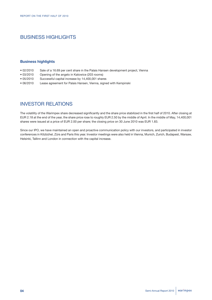# BUSINESS HIGHLIGHTS

### **Business highlights**

- 02/2010 Sale of a 16.69 per cent share in the Palais Hansen development project, Vienna<br>• 03/2010 Opening of the angelo in Katowice (203 rooms)
- Opening of the angelo in Katowice (203 rooms)
- 05/2010 Successful capital increase by 14,400,001 shares
- 06/2010 Lease agreement for Palais Hansen, Vienna, signed with Kempinski

# INVESTOR RELATIONS

The volatility of the Warimpex share decreased significantly and the share price stabilized in the first half of 2010. After closing at EUR 2.18 at the end of the year, the share price rose to roughly EUR 2.50 by the middle of April. In the middle of May, 14,400,001 shares were issued at a price of EUR 2.00 per share; the closing price on 30 June 2010 was EUR 1.83.

Since our IPO, we have maintained an open and proactive communication policy with our investors, and participated in investor conferences in Kitzbühel, Zürs and Paris this year. Investor meetings were also held in Vienna, Munich, Zurich, Budapest, Warsaw, Helsinki, Tallinn and London in connection with the capital increase.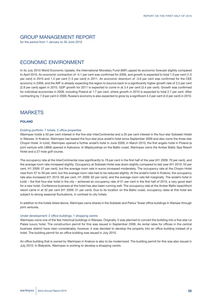# GROUP MANAGEMENT REPORT

for the period from 1 January to 30 June 2010

# ECONOMIC ENVIRONMENT

In its July 2010 World Economic Update, the International Monetary Fund (IMF) upped its economic forecast slightly compared to April 2010. An economic contraction of -4.1 per cent was confirmed for 2009, and growth is expected to total 1.0 per cent (1.0 per cent) in 2010 and 1.3 per cent (1.5 per cent) in 2011. An economic downturn of -3.6 per cent was confirmed for the CEE economy in 2009, and the IMF is already expecting the region to bounce back to a significantly higher growth rate of 3.2 per cent (2.8 per cent) again in 2010. GDP growth for 2011 is expected to come in at 3.4 per cent (3.4 per cent). Growth was confirmed for individual economies in 2009, including Poland at 1.7 per cent, where growth in 2010 is expected to total 2.7 per cent. After contracting by 7.9 per cent in 2009, Russia's economy is also expected to grow by a significant 4.3 per cent (4.0 per cent) in 2010.

# **MARKETS**

### **POLAND**

### Existing portfolio: 7 hotels, 2 office properties

Warimpex holds a 50 per cent interest in the five-star InterContinental and a 25 per cent interest in the four-star Sobieski Hoteli in Warsaw. In Krakow, Warimpex has leased the four-star-plus andel's hotel since September 2009 and also owns the three-star Chopin Hotel. In Łódź, Warimpex opened a further andel's hotel in June 2009; in March 2010, the first angelo hotel in Poland (a joint venture with UBM) opened in Katowice. In Międzyzdroje on the Baltic coast, Warimpex owns the Amber Baltic Spa Resort Hotel and a 27-hole golf course.

The occupancy rate at the InterContinental rose significantly to 78 per cent in the first half of the year (H1 2009: 70 per cent), and the average room rate increased slightly. Occupancy at Sobieski Hotel was down slightly compared to last year (H1 2010: 55 per cent, H1 2009: 57 per cent), but the average room rate in euros increased moderately. The occupancy rate at the Chopin Hotel rose from 57 to 59 per cent, but the average room rate had to be reduced slightly. At the andel's hotel in Krakow, the occupancy rate also increased (H1 2010: 66 per cent, H1 2009: 62 per cent), and the average room rate fell marginally. The andel's hotel in Łódź – the first four-star hotel in the city – achieved an occupancy rate of 51 per cent in the first half of 2010, a very good start for a new hotel. Conference business at the hotel has also been running well. The occupancy rate at the Amber Baltic beachfront resort came in at 32 per cent (H1 2009: 31 per cent). Due to its location on the Baltic coast, occupancy rates at this hotel are subject to strong seasonal fluctuations, in contrast to city hotels.

In addition to the hotels listed above, Warimpex owns shares in the Sobieski and Parkur Tower office buildings in Warsaw through joint ventures.

### Under development: 2 office buildings, 1 shopping centre

Warimpex owns one of the few historical buildings in Warsaw. Originally, it was planned to convert the building into a five-star Le Palais luxury hotel. The construction permit for this was issued in September 2008. As rental rates for offices in the central business district have risen considerably, however, it was decided to develop the property into an office building instead of a hotel. The building permit for an office building was issued in July 2010.

An office building that is owned by Warimpex in Krakow is also to be modernized. The building permit for this was also issued in July 2010. In Białystok, Warimpex is working to develop a shopping centre.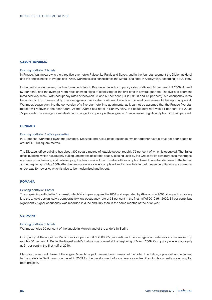### **CZECH REPUBLIC**

#### Existing portfolio: 7 hotels

In Prague, Warimpex owns the three five-star hotels Palace, Le Palais and Savoy, and in the four-star segment the Diplomat Hotel and the angelo hotels in Prague and Plzeň. Warimpex also consolidates the Dvořák spa hotel in Karlovy Vary according to IAS/IFRS.

In the period under review, the two four-star hotels in Prague achieved occupancy rates of 49 and 54 per cent (H1 2009: 41 and 57 per cent), and the average room rates showed signs of stabilizing for the first time in several quarters. The five-star segment remained very weak, with occupancy rates of between 37 and 50 per cent (H1 2009: 33 and 47 per cent), but occupancy rates began to climb in June and July. The average room rates also continued to decline in annual comparison. In the reporting period, Warimpex began planning the conversion of a five-star hotel into apartments, as it cannot be assumed that the Prague five-star market will recover in the near future. At the Dvořák spa hotel in Karlovy Vary, the occupancy rate was 74 per cent (H1 2009: 77 per cent). The average room rate did not change. Occupancy at the angelo in Plzeň increased significantly from 26 to 45 per cent.

#### **HUNGARY**

#### Existing portfolio: 3 office properties

In Budapest, Warimpex owns the Erzsebet, Dioszegi and Sajka office buildings, which together have a total net floor space of around 17,000 square metres.

The Dioszegi office building has about 800 square metres of lettable space, roughly 75 per cent of which is occupied. The Sajka office building, which has roughly 600 square metres of lettable space, is being used by the Group for its own purposes. Warimpex is currently modernizing and redeveloping the two towers of the Erzsebet office complex. Tower B was handed over to the tenant at the beginning of May 2009 after the renovation work was completed and is now fully let out. Lease negotiations are currently under way for tower A, which is also to be modernized and let out.

### **ROMANIA**

### Existing portfolio: 1 hotel

The angelo Airporthotel in Bucharest, which Warimpex acquired in 2007 and expanded by 69 rooms in 2008 along with adapting it to the angelo design, saw a comparatively low occupancy rate of 38 per cent in the first half of 2010 (H1 2009: 34 per cent), but significantly higher occupancy was recorded in June and July than in the same months of the prior year.

#### **GERMANY**

#### Existing portfolio: 2 hotels

Warimpex holds 50 per cent of the angelo in Munich and of the andel's in Berlin.

Occupancy at the angelo in Munich was 72 per cent (H1 2009: 65 per cent), and the average room rate was also increased by roughly 30 per cent. In Berlin, the largest andel's to date was opened at the beginning of March 2009. Occupancy was encouraging at 61 per cent in the first half of 2010.

Plans for the second phase of the angelo Munich project foresee the expansion of the hotel. In addition, a piece of land adjacent to the andel's in Berlin was purchased in 2009 for the development of a conference centre. Planning is currently under way for both projects.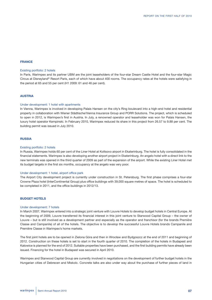#### **FRANCE**

#### Existing portfolio: 2 hotels

In Paris, Warimpex and its partner UBM are the joint leaseholders of the four-star Dream Castle Hotel and the four-star Magic Circus at Disneyland® Resort Paris, each of which have about 400 rooms. The occupancy rates at the hotels were satisfying in the period at 65 and 55 per cent (H1 2009: 61 and 46 per cent).

#### **AUSTRIA**

#### Under development: 1 hotel with apartments

In Vienna, Warimpex is involved in developing Palais Hansen on the city's Ring boulevard into a high-end hotel and residential property in collaboration with Wiener Städtische/Vienna Insurance Group and PORR Solutions. The project, which is scheduled to open in 2012, is Warimpex's first in Austria. In July, a renowned operator and leaseholder was won for Palais Hansen, the luxury hotel operator Kempinski. In February 2010, Warimpex reduced its share in this project from 26.57 to 9.88 per cent. The building permit was issued in July 2010.

#### **RUSSIA**

#### Existing portfolio: 2 hotels

In Russia, Warimpex holds 60 per cent of the Liner Hotel at Koltsovo airport in Ekaterinburg. The hotel is fully consolidated in the financial statements. Warimpex is also developing another airport project in Ekaterinburg. An angelo hotel with a direct link to the new terminals was opened in the third quarter of 2009 as part of the expansion of the airport. While the existing Liner Hotel met its budget targets in the first six months, occupancy at the angelo was very poor.

#### Under development: 1 hotel, airport office park

The Airport City development project is currently under construction in St. Petersburg. The first phase comprises a four-star Crowne Plaza hotel (InterContinental Group) plus office buildings with 39,000 square metres of space. The hotel is scheduled to be completed in 2011, and the office buildings in 2012/13.

### **BUDGET HOTELS**

#### Under development: 7 hotels

In March 2007, Warimpex entered into a strategic joint venture with Louvre Hotels to develop budget hotels in Central Europe. At the beginning of 2009, Louvre transferred its financial interest in this joint venture to Starwood Capital Group – the owner of Louvre – but is still involved as a development partner and especially as the operator and franchisor (for the brands Première Classe and Campanile) of all of the hotels. The objective is to develop the successful Louvre Hotels brands Campanile and Première Classe in Warimpex's home markets.

The first joint hotels are to be opened in Zielona Góra and then in Wrocław and Bydgoszcz at the end of 2011 and beginning of 2012. Construction on these hotels is set to start in the fourth quarter of 2010. The completion of the hotels in Budapest and Katowice is planned for the end of 2012. Suitable properties have been purchased, and the first building permits have already been issued. Financing for the hotel in Budapest was secured in April 2010.

Warimpex and Starwood Capital Group are currently involved in negotiations on the development of further budget hotels in the Hungarian cities of Debrecen and Miskolc. Concrete talks are also under way about the purchase of further pieces of land in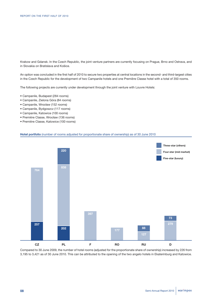Krakow and Gdansk. In the Czech Republic, the joint venture partners are currently focusing on Prague, Brno and Ostrava, and in Slovakia on Bratislava and Košice.

An option was concluded in the first half of 2010 to secure two properties at central locations in the second- and third-largest cities in the Czech Republic for the development of two Campanile hotels and one Première Classe hotel with a total of 350 rooms.

The following projects are currently under development through the joint venture with Louvre Hotels:

- Campanile, Budapest (284 rooms)
- Campanile, Zielona Góra (84 rooms)
- Campanile, Wrocław (152 rooms)
- Campanile, Bydgoszcz (117 rooms)
- Campanile, Katowice (100 rooms)
- Première Classe, Wrocław (136 rooms)
- Première Classe, Katowice (100 rooms)

### **Hotel portfolio** (number of rooms adjusted for proportionate share of ownership) as of 30 June 2010



Compared to 30 June 2009, the number of hotel rooms (adjusted for the proportionate share of ownership) increased by 226 from 3,195 to 3,421 as of 30 June 2010. This can be attributed to the opening of the two angelo hotels in Ekaterinburg and Katowice.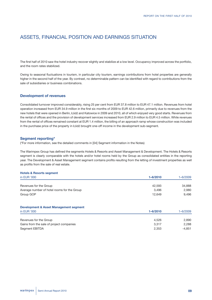# ASSETS, FINANCIAL POSITION AND EARNINGS SITUATION

The first half of 2010 saw the hotel industry recover slightly and stabilize at a low level. Occupancy improved across the portfolio, and the room rates stabilized.

Owing to seasonal fluctuations in tourism, in particular city tourism, earnings contributions from hotel properties are generally higher in the second half of the year. By contrast, no determinable pattern can be identified with regard to contributions from the sale of subsidiaries or business combinations.

### **Development of revenues**

Consolidated turnover improved considerably, rising 25 per cent from EUR 37.8 million to EUR 47.1 million. Revenues from hotel operation increased from EUR 34.9 million in the first six months of 2009 to EUR 42.6 million, primarily due to revenues from the new hotels that were opened in Berlin, Łódź and Katowice in 2009 and 2010, all of which enjoyed very good starts. Revenues from the rental of offices and the provision of development services increased from EUR 2.9 million to EUR 4.5 million. While revenues from the rental of offices remained constant at EUR 1.4 million, the billing of an approach ramp whose construction was included in the purchase price of the property in Łódź brought one-off income in the development sub-segment.

### **Segment reporting\***

(\*For more information, see the detailed comments in [04] Segment information in the Notes)

The Warimpex Group has defined the segments Hotels & Resorts and Asset Management & Development. The Hotels & Resorts segment is clearly comparable with the hotels and/or hotel rooms held by the Group as consolidated entities in the reporting year. The Development & Asset Management segment contains profits resulting from the letting of investment properties as well as profits from the sale of real estate.

### **Hotels & Resorts segment**

| in EUR '000                                 | $1 - 6/2010$ | 1-6/2009 |
|---------------------------------------------|--------------|----------|
|                                             |              |          |
| Revenues for the Group                      | 42,593       | 34,888   |
| Average number of hotel rooms for the Group | 3,496        | 2,980    |
| Group GOP                                   | 12,649       | 9,496    |
| Development & Asset Management segment      |              |          |
| in EUR '000                                 | $1 - 6/2010$ | 1-6/2009 |

| Revenues for the Group                   | 4.526 | 2.890    |
|------------------------------------------|-------|----------|
| Gains from the sale of project companies | 3.317 | 2.288    |
| Segment EBITDA                           | 2.353 | $-4,851$ |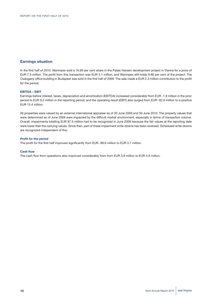# **Earnings situation**

In the first half of 2010, Warimpex sold a 16.69 per cent share in the Palais Hansen development project in Vienna for a price of EUR 7.3 million. The profit from this transaction was EUR 3.1 million, and Warimpex still holds 9.88 per cent of the project. The Csalogany office building in Budapest was sold in the first half of 2009. The sale made a EUR 2.3 million contribution to the profit for the period.

### **EBITDA – EBIT**

Earnings before interest, taxes, depreciation and amortization (EBITDA) increased considerably from EUR -1.9 million in the prior period to EUR 9.2 million in the reporting period, and the operating result (EBIT) also surged from EUR -82.6 million to a positive EUR 13.4 million.

All properties were valued by an external international appraiser as of 30 June 2009 and 30 June 2010. The property values that were determined as of June 2009 were impacted by the difficult market environment, especially in terms of transaction volume. Overall, impairments totalling EUR 87.5 million had to be recognized in June 2009 because the fair values at the reporting date were lower than the carrying values. Since then, part of these impairment write-downs has been reversed. Scheduled write-downs are recognized independent of this.

### **Profit for the period**

The profit for the first half improved significantly from EUR -98.6 million to EUR 3.7 million.

#### **Cash flow**

The cash flow from operations also improved considerably from from EUR 3.8 million to EUR 4.6 million.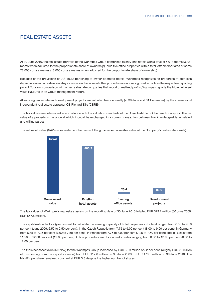# REAL ESTATE ASSETS

At 30 June 2010, the real estate portfolio of the Warimpex Group comprised twenty-one hotels with a total of 5,013 rooms (3,421 rooms when adjusted for the proportionate share of ownership), plus five office properties with a total lettable floor area of some 28,000 square metres (18,000 square metres when adjusted for the proportionate share of ownership).

Because of the provisions of IAS 40.12 pertaining to owner-operated hotels, Warimpex recognizes its properties at cost less depreciation and amortization. Any increases in the value of other properties are not recognized in profit in the respective reporting period. To allow comparison with other real estate companies that report unrealized profits, Warimpex reports the triple net asset value (NNNAV) in its Group management report.

All existing real estate and development projects are valuated twice annually (at 30 June and 31 December) by the international independent real estate appraiser CB Richard Ellis (CBRE).

The fair values are determined in accordance with the valuation standards of the Royal Institute of Chartered Surveyors. The fair value of a property is the price at which it could be exchanged in a current transaction between two knowledgeable, unrelated and willing parties.

The net asset value (NAV) is calculated on the basis of the gross asset value (fair value of the Company's real estate assets).



The fair values of Warimpex's real estate assets on the reporting date of 30 June 2010 totalled EUR 579.2 million (30 June 2009: EUR 557.5 million).

The capitalization factors (yields) used to calculate the earning capacity of hotel properties in Poland ranged from 6.50 to 9.50 per cent (June 2009: 6.50 to 9.50 per cent), in the Czech Republic from 7.75 to 9.00 per cent (8.00 to 9.00 per cent), in Germany from 6.75 to 7.25 per cent (7.00 to 7.50 per cent), in France from 7.75 to 8.00 per cent (7.25 to 7.50 per cent) and in Russia from 11.50 to 12.00 per cent (12.00 per cent). Office properties are discounted at rates ranging from 8.00 to 13.00 per cent (8.00 to 12.00 per cent).

The triple net asset value (NNNAV) for the Warimpex Group increased by EUR 60.9 million or 52 per cent (roughly EUR 26 million of this coming from the capital increase) from EUR 117.6 million on 30 June 2009 to EUR 178.5 million on 30 June 2010. The NNNAV per share remained constant at EUR 3.3 despite the higher number of shares.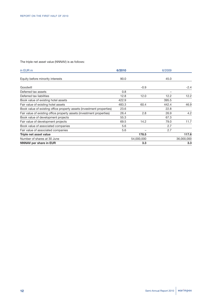The triple net asset value (NNNAV) is as follows:

| in EUR m                                                              | 6/2010 |            | 6/2009                   |            |
|-----------------------------------------------------------------------|--------|------------|--------------------------|------------|
| Equity before minority interests                                      | 90.0   |            | 45.0                     |            |
| Goodwill                                                              |        | $-0.9$     |                          | $-2.4$     |
| Deferred tax assets                                                   | 0.8    |            | $\overline{\phantom{0}}$ |            |
| Deferred tax liabilities                                              | 12.8   | 12.0       | 12.2                     | 12.2       |
| Book value of existing hotel assets                                   | 422.9  |            | 395.5                    |            |
| Fair value of existing hotel assets                                   | 483.3  | 60.4       | 442.4                    | 46.9       |
| Book value of existing office property assets (investment properties) | 23.6   |            | 22.8                     |            |
| Fair value of existing office property assets (investment properties) | 26.4   | 2.8        | 26.9                     | 4.2        |
| Book value of development projects                                    | 55.3   |            | 67.3                     |            |
| Fair value of development projects                                    | 69.5   | 14.2       | 79.0                     | 11.7       |
| Book value of associated companies                                    | 5.6    |            | 2.7                      |            |
| Fair value of associated companies                                    | 5.6    | -          | 2.7                      |            |
| Triple net asset value                                                |        | 178.5      |                          | 117.6      |
| Number of shares at 30 June                                           |        | 54,000,000 |                          | 36,000,000 |
| <b>NNNAV per share in EUR</b>                                         |        | 3.3        |                          | 3.3        |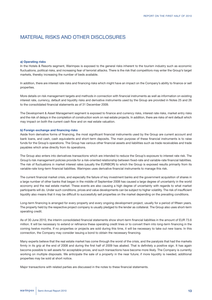# MATERIAL RISKS AND OTHER DISCLOSURES

#### **a) Operating risks**

In the Hotels & Resorts segment, Warimpex is exposed to the general risks inherent to the tourism industry such as economic fluctuations, political risks, and increasing fear of terrorist attacks. There is the risk that competitors may enter the Group's target markets, thereby increasing the number of beds available.

In addition, there are interest rate risks and financing risks which might have an impact on the Company's ability to finance or sell properties.

More details on risk management targets and methods in connection with financial instruments as well as information on existing interest rate, currency, default and liquidity risks and derivative instruments used by the Group are provided in Notes 25 and 26 to the consolidated financial statements as of 31 December 2009.

The Development & Asset Management segment is exposed to finance and currency risks, interest rate risks, market entry risks and the risk of delays in the completion of construction work on real estate projects. In addition, there are risks of rent default which may impact on both the current cash flow and on real estate valuation.

### **b) Foreign exchange and financing risks**

Aside from derivative forms of financing, the most significant financial instruments used by the Group are current account and bank loans, and cash, cash equivalents and short-term deposits. The main purpose of these financial instruments is to raise funds for the Group's operations. The Group has various other financial assets and liabilities such as trade receivables and trade payables which arise directly from its operations.

The Group also enters into derivatives transactions which are intended to reduce the Group's exposure to interest rate risk. The Group's risk management policies provide for a risk-oriented relationship between fixed-rate and variable-rate financial liabilities. The risk of fluctuations in market interest rates (usually the EURIBOR) to which the Group is exposed results primarily from its variable-rate long-term financial liabilities. Warimpex uses derivative financial instruments to manage this risk.

The current financial market crisis, and especially the failure of key investment banks and the government acquisition of shares in a large number of other banks that began in the middle of September 2008 has caused a large degree of uncertainty in the world economy and the real estate market. These events are also causing a high degree of uncertainty with regards to what market participants will do. Under such conditions, prices and value developments can be subject to higher volatility. The risk of insufficient liquidity also means that it may be difficult to successfully sell properties on the market depending on the prevailing conditions.

Long-term financing is arranged for every property and every ongoing development project, usually for a period of fifteen years. The property held by the respective project company is usually pledged to the lender as collateral. The Group also uses short-term operating credit.

As of 30 June 2010, the interim consolidated financial statements show short-term financial liabilities in the amount of EUR 73.6 million. It will be necessary to extend or refinance these operating credit lines or to convert them into long-term financing in the coming twelve months. If no properties or projects are sold during this time, it will be necessary to take out new loans. In this connection, the Company may consider issuing a bond to obtain the necessary financing.

Many experts believe that the real estate market has come through the worst of the crisis, and the paralysis that had the markets firmly in its grip at the end of 2008 and during the first half of 2009 has abated. That is definitely a positive sign. It has again become possible to sell assets for acceptable prices, and such transactions have become more likely. The Company is currently working on multiple disposals. We anticipate the sale of a property in the near future; if more liquidity is needed, additional properties may be sold at short notice.

Major transactions with related parties are discussed in the notes to these financial statements.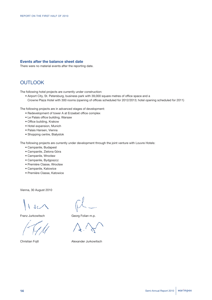### **Events after the balance sheet date**

There were no material events after the reporting date.

# **OUTLOOK**

The following hotel projects are currently under construction:

• Airport City, St. Petersburg, business park with 39,000 square metres of office space and a Crowne Plaza Hotel with 300 rooms (opening of offices scheduled for 2012/2013; hotel opening scheduled for 2011)

The following projects are in advanced stages of development:

- Redevelopment of tower A at Erzsebet office complex
- Le Palais office building, Warsaw
- Office building, Krakow
- Hotel expansion, Munich
- Palais Hansen, Vienna
- Shopping centre, Białystok

The following projects are currently under development through the joint venture with Louvre Hotels:

- Campanile, Budapest
- Campanile, Zielona Góra
- Campanile, Wrocław
- Campanile, Bydgoszcz
- Première Classe, Wrocław
- Campanile, Katowice
- Première Classe, Katowice

Vienna, 30 August 2010

 $\Omega$ 

Franz Jurkowitsch Georg Folian m.p.

Christian Fojtl **Alexander Jurkowitsch**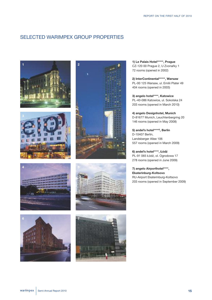# SELECTED WARIMPEX GROUP PROPERTIES















**1) Le Palais Hotel\*\*\*\*\*, Prague** CZ-120 00 Prague 2, U Zvonaŕky 1 72 rooms (opened in 2002)

**2) InterContinental\*\*\*\*\*, Warsaw** PL-00 125 Warsaw, ul. Emilii Plater 49 404 rooms (opened in 2003)

**3) angelo hotel\*\*\*\*, Katowice** PL-40-086 Katowice, ul. Sokolska 24 203 rooms (opened in March 2010)

**4) angelo Designhotel, Munich** D-81677 Munich, Leuchtenbergring 20 146 rooms (opened in May 2008)

**5) andel's hotel\*\*\*\*<sup>S</sup>, Berlin** D-10407 Berlin, Landsberger Allee 106 557 rooms (opened in March 2009)

**6) andel's hotel\*\*\*\*, Łódź** PL-91 065 Łódź, ol. Ogrodowa 17 278 rooms (opened in June 2009)

**7) angelo Airporthotel\*\*\*\*, Ekaterinburg-Koltsovo** RU-Airport Ekaterinburg-Koltsovo 203 rooms (opened in September 2009)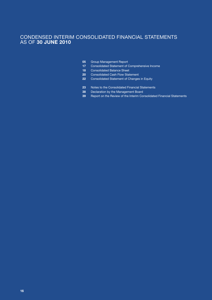# CONDENSED INTERIM CONSOLIDATED FINANCIAL STATEMENTS AS OF **30 JUNE 2010**

- Group Management Report **05**
- Consolidated Statement of Comprehensive Income **17**
- Consolidated Balance Sheet **18**
- Consolidated Cash Flow Statement **20**
- Consolidated Statement of Changes in Equity **22**
- Notes to the Consolidated Financial Statements **23**
- Declaration by the Management Board **38**
- Report on the Review of the Interim Consolidated Financial Statements **39**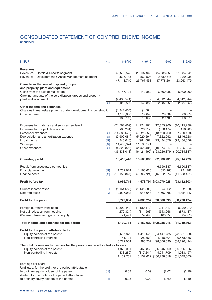# CONSOLIDATED STATEMENT OF COMPREHENSIVE INCOME unaudited

| in EUR                                                                     | <b>Note</b> | $1 - 6/10$     | $4 - 6/10$     | $1 - 6/09$              | $4 - 6/09$      |
|----------------------------------------------------------------------------|-------------|----------------|----------------|-------------------------|-----------------|
| <b>Revenues</b>                                                            |             |                |                |                         |                 |
| Revenues - Hotels & Resorts segment                                        |             | 42,592,575     | 25, 197, 943   | 34,888,358              | 21,634,241      |
| Revenues - Development & Asset Management segment                          |             | 4,526,135      | 1,569,508      | 2,889,846               | 1,429,238       |
|                                                                            |             | 47,118,710     | 26,767,451     | 37,778,204              | 23,063,479      |
| Gains from the sale of disposal groups                                     |             |                |                |                         |                 |
| and property, plant and equipment                                          |             |                |                |                         |                 |
| Gains from the sale of real estate                                         |             | 7,747,121      | 142,882        | 6,800,000               | 6,800,000       |
| Carrying amounts of the sold disposal groups and property,                 |             |                |                |                         |                 |
| plant and equipment                                                        |             | (4,430,571)    |                | (4, 512, 344)           | (4, 512, 344)   |
|                                                                            | [05]        | 3,316,550      | 142,882        | 2,287,656               | 2,287,656       |
| Other income and expenses                                                  |             |                |                |                         |                 |
| Changes in real estate projects under development or construction          |             | (1, 341, 454)  | (1, 584)       |                         |                 |
| Other income                                                               |             | 1,160,658      | 19,645         | 329,789                 | 68,979          |
|                                                                            |             | (180, 796)     | 18,060         | 329,789                 | 68,979          |
|                                                                            |             |                |                |                         |                 |
| Expenses for materials and services rendered                               |             | (21, 561, 469) | (11, 724, 101) | (17, 875, 960)          | (10, 115, 280)  |
| Expenses for project development                                           |             | (86, 291)      | (20, 912)      | (526, 174)              | 116,900         |
| Personnel expenses                                                         | [06]        | (14, 582, 678) | (7,821,552)    | (13, 193, 760)          | (7, 230, 169)   |
| Depreciation and amortization expense                                      | $[07]$      | (9,900,084)    | (5,020,591)    | (7, 322, 092)           | (3,846,528)     |
| Impairments                                                                | $[07]$      | (348, 046)     | (981, 082)     | (73, 434, 076)          | (73, 434, 076)  |
| Write-ups                                                                  | $[07]$      | 14,467,374     | 11,598,171     |                         |                 |
| Other expenses                                                             | [08]        | (4,826,825)    | (2,451,431)    | (10, 674, 317)          | (6, 225, 684)   |
|                                                                            |             | (36,838,018)   | (16, 421, 499) | (123,026,379)           | (100, 734, 837) |
|                                                                            |             |                |                |                         |                 |
| <b>Operating profit</b>                                                    |             | 13,416,446     | 10,506,895     | (82, 630, 731)          | (75, 314, 723)  |
|                                                                            |             |                |                |                         |                 |
| Result from associated companies                                           |             |                |                | (6,690,887)             | (6,690,887)     |
| Financial revenue                                                          | [09]        | 1,702,614      | 1,168,623      | 1,853,963               | 721,788         |
| Finance costs                                                              | [09]        | (13, 152, 347) | (7,096,724)    | (15,602,374)            | (11, 858, 481)  |
| <b>Profit before tax</b>                                                   |             | 1,966,714      |                | 4,578,794 (103,070,028) | (93, 142, 303)  |
| Current income taxes                                                       | $[10]$      | (1, 164, 682)  | (1, 141, 580)  | (4,262)                 | (2,568)         |
| Deferred taxes                                                             | $[10]$      | 2,927,032      | 948,043        | 4,507,700               | 4,854,447       |
|                                                                            |             |                |                |                         |                 |
| Profit for the period                                                      |             | 3,729,064      | 4,385,257      | (98, 566, 590)          | (88, 290, 424)  |
| Foreign currency translation                                               |             | (2,390,449)    | (1, 180, 170)  | (1, 247, 317)           | 8,029,070       |
| Net gains/losses from hedging                                              |             | (270, 324)     | (111, 963)     | (643,068)               | (873, 487)      |
| (Deferred) taxes recognized in equity                                      |             | 71,491         | 59,498         | 168,956                 | 84,978          |
|                                                                            |             |                |                |                         |                 |
| Total income and expenses for the period                                   |             | 1,139,781      |                | 3,152,622 (100,288,018) | (81,049,863)    |
| Profit for the period attributable to:                                     |             |                |                |                         |                 |
| - Equity holders of the parent                                             |             | 3,687,872      | 4,413,620      | (94, 447, 785)          | (78, 831, 988)  |
| - Non-controlling interests                                                |             | 41,191         | (28, 363)      | (4, 118, 804)           | (9,458,436)     |
|                                                                            |             | 3,729,064      | 4,385,257      | (98, 566, 590)          | (88, 290, 424)  |
| The total income and expenses for the period can be attributed as follows: |             |                |                |                         |                 |
| - Equity holders of the parent                                             |             | 1,973,061      | 3,469,863      | (96,046,309)            | (80,036,366)    |
| - Non-controlling interests                                                |             | (833, 280)     | (317, 241)     | (4, 241, 709)           | (1,013,497)     |
|                                                                            |             | 1,139,781      |                | 3,152,622 (100,288,018) | (81,049,863)    |
|                                                                            |             |                |                |                         |                 |
| Earnings per share:                                                        |             |                |                |                         |                 |
| Undiluted, for the profit for the period attributable                      |             |                |                |                         |                 |
| to ordinary equity holders of the parent                                   | [11]        | 0.08           | 0.09           | (2.62)                  | (2.19)          |
| diluted, for the profit for the period attributable                        |             |                |                |                         |                 |
| to ordinary equity holders of the parent                                   | [11]        | 0.08           | 0.09           | (2.62)                  | (2.19)          |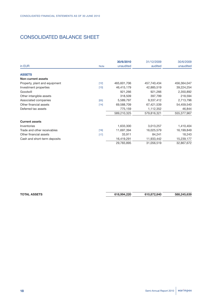# CONSOLIDATED BALANCE SHEET

|                               |             | 30/6/2010   | 31/12/2009  | 30/6/2009   |
|-------------------------------|-------------|-------------|-------------|-------------|
| in EUR                        | <b>Note</b> | unaudited   | audited     | unaudited   |
| <b>ASSETS</b>                 |             |             |             |             |
| <b>Non-current assets</b>     |             |             |             |             |
| Property, plant and equipment | $[12]$      | 465,601,706 | 457,740,434 | 456,364,047 |
| Investment properties         | $[13]$      | 46,415,179  | 42,885,519  | 39,224,254  |
| Goodwill                      |             | 921,266     | 921,266     | 2,350,892   |
| Other intangible assets       |             | 318,509     | 397,799     | 218,594     |
| Associated companies          | [05]        | 5,589,797   | 9,337,412   | 2,713,796   |
| Other financial assets        | $[14]$      | 69,588,709  | 67,421,539  | 54,459,540  |
| Deferred tax assets           |             | 775,159     | 1,112,352   | 46,844      |
|                               |             | 589,210,325 | 579,816,321 | 555,377,967 |
| <b>Current assets</b>         |             |             |             |             |
| Inventories                   |             | 1,633,300   | 3,013,257   | 1,410,404   |
| Trade and other receivables   | $[16]$      | 11,697,394  | 16,025,579  | 16,199,849  |
| Other financial assets        | $[17]$      | 33,911      | 84,241      | 18,243      |
| Cash and short-term deposits  |             | 16,419,291  | 11,933,442  | 15,239,177  |
|                               |             | 29,783,895  | 31,056,519  | 32,867,672  |

**TOTAL ASSETS 618,994,220 610,872,840 588,245,639**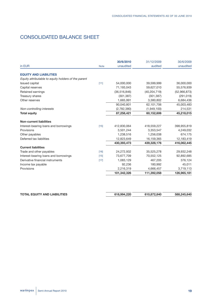# CONSOLIDATED BALANCE SHEET

| 30/6/2010                                                   | 31/12/2009     | 30/6/2009    |
|-------------------------------------------------------------|----------------|--------------|
| unaudited                                                   | audited        | unaudited    |
|                                                             |                |              |
|                                                             |                |              |
| 54,000,000                                                  | 39,599,999     | 36,000,000   |
| 71,193,043                                                  | 59,627,010     | 55,576,939   |
| (36, 516, 846)                                              | (40, 204, 719) | (52,966,873) |
| (301, 387)                                                  | (301, 387)     | (291, 019)   |
| 1,665,991                                                   | 3,380,802      | 6,684,436    |
| 90,040,801                                                  | 62,101,706     | 45,003,483   |
| (2,782,380)                                                 | (1,949,100)    | 214,531      |
| 87,258,421                                                  | 60,152,606     | 45,218,015   |
|                                                             |                |              |
| 412,830,064                                                 | 418,559,227    | 398,955,819  |
| 3,501,244                                                   | 3,353,547      | 4,249,032    |
| 1,238,516                                                   | 1,256,038      | 674,175      |
| 12,823,649                                                  | 16,159,365     | 12,183,419   |
| 430,393,473                                                 | 439,328,176    | 416,062,445  |
|                                                             |                |              |
| 24,272,932                                                  | 35,525,278     | 29,932,248   |
| 73,677,709                                                  | 70,552,125     | 92,892,685   |
| 1,083,129                                                   | 467,205        | 376,124      |
| 92,236                                                      | 180,992        | 45,011       |
| 2,216,319                                                   | 4,666,457      | 3,719,113    |
| 101,342,326                                                 | 111,392,058    | 126,965,181  |
| <b>Note</b><br>[11]<br>$[15]$<br>$[16]$<br>$[15]$<br>$[17]$ |                |              |

| <b>TOTAL EQUITY AND LIABILITIES</b> | 618,994,220 | 610,872,840 | 588,245,640 |
|-------------------------------------|-------------|-------------|-------------|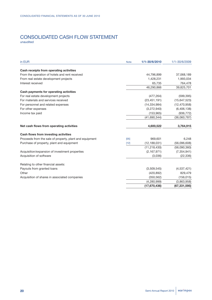# CONSOLIDATED CASH FLOW STATEMENT unaudited

| in EUR                                                  | <b>Note</b> | 1/1-30/6/2010  | $1/1 - 30/6/2009$ |
|---------------------------------------------------------|-------------|----------------|-------------------|
| Cash receipts from operating activities                 |             |                |                   |
| From the operation of hotels and rent received          |             | 44,796,899     | 37,068,189        |
| From real estate development projects                   |             | 1,428,231      | 1,993,034         |
| Interest received                                       |             | 65,735         | 764,478           |
|                                                         |             | 46,290,866     | 39,825,701        |
| Cash payments for operating activities                  |             |                |                   |
| For real estate development projects                    |             | (477, 264)     | (599, 395)        |
| For materials and services received                     |             | (23, 451, 191) | (15,647,523)      |
| For personnel and related expenses                      |             | (14, 334, 984) | (12, 470, 958)    |
| For other expenses                                      |             | (3,272,940)    | (6,406,138)       |
| Income tax paid                                         |             | (153, 965)     | (936, 772)        |
|                                                         |             | (41,690,344)   | (36,060,787)      |
|                                                         |             |                |                   |
| Net cash flows from operating activities                |             | 4,600,522      | 3,764,915         |
| Cash flows from investing activities                    |             |                |                   |
| Proceeds from the sale of property, plant and equipment | [05]        | 969,601        | 6,248             |
| Purchase of property, plant and equipment               | $[12]$      | (12, 188, 031) | (56,096,608)      |
|                                                         |             | (11, 218, 430) | (56,090,360)      |
| Acquisition/expansion of investment properties          |             | (2, 167, 971)  | (7, 354, 941)     |
| Acquisition of software                                 |             | (3,036)        | (22, 336)         |
| Relating to other financial assets:                     |             |                |                   |
| Payouts from granted loans                              |             | (3,509,545)    | (4,537,421)       |
| Other                                                   |             | (420, 892)     | 829,479           |
| Acquisition of shares in associated companies           |             | (350, 562)     | (156, 015)        |
|                                                         |             | (4, 280, 999)  | (3,863,958)       |
|                                                         |             | (17,670,436)   | (67, 331, 595)    |
|                                                         |             |                |                   |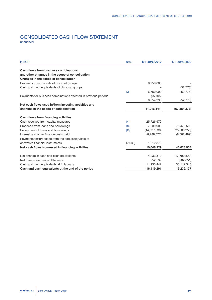# CONSOLIDATED CASH FLOW STATEMENT unaudited

| in EUR                                                          | <b>Note</b> | 1/1-30/6/2010 | 1/1-30/6/2009  |
|-----------------------------------------------------------------|-------------|---------------|----------------|
| Cash flows from business combinations                           |             |               |                |
| and other changes in the scope of consolidation                 |             |               |                |
| Changes in the scope of consolidation                           |             |               |                |
| Proceeds from the sale of disposal groups                       |             | 6,750,000     |                |
| Cash and cash equivalents of disposal groups                    |             |               | (52, 778)      |
|                                                                 | [05]        | 6,750,000     | (52, 778)      |
| Payments for business combinations effected in previous periods |             | (95, 705)     |                |
|                                                                 |             | 6,654,295     | (52, 778)      |
| Net cash flows used in/from investing activities and            |             |               |                |
| changes in the scope of consolidation                           |             | (11,016,141)  | (67, 384, 373) |
| Cash flows from financing activities                            |             |               |                |
| Cash received from capital measures                             | [11]        | 25,726,979    |                |
| Proceeds from loans and borrowings                              | $[15]$      | 7,839,903     | 78,479,505     |
| Repayment of loans and borrowings                               | $[15]$      | (14,627,336)  | (25, 380, 950) |
| Interest and other finance costs paid                           |             | (8, 288, 577) | (8,682,489)    |
| Payments for/proceeds from the acquisition/sale of              |             |               |                |
| derivative financial instruments                                | (2,039)     | 1,612,873     |                |
| Net cash flows from/used in financing activities                |             | 10,648,929    | 46,028,938     |
| Net change in cash and cash equivalents                         |             | 4,233,310     | (17,590,520)   |
| Net foreign exchange difference                                 |             | 252,539       | (282, 651)     |
| Cash and cash equivalents at 1 January                          |             | 11,933,442    | 33,112,348     |
| Cash and cash equivalents at the end of the period              |             | 16,419,291    | 15,239,177     |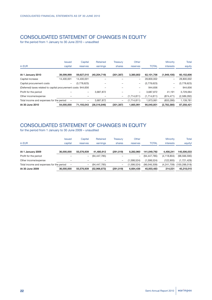# CONSOLIDATED STATEMENT OF CHANGES IN EQUITY

for the period from 1 January to 30 June 2010 – unaudited

|                                                               | <b>Issued</b> | Capital                  | Retained       | Treasurv                 | Other             |              | Minority    | Total       |
|---------------------------------------------------------------|---------------|--------------------------|----------------|--------------------------|-------------------|--------------|-------------|-------------|
| in EUR                                                        | capital       | reserves                 | earnings       | shares                   | reserves          | <b>TOTAL</b> | interests   | equity      |
|                                                               |               |                          |                |                          |                   |              |             |             |
| At 1 January 2010                                             | 39,599,999    | 59,627,010               | (40, 204, 719) | (301, 387)               | 3,380,802         | 62,101,706   | (1,949,100) | 60,152,606  |
| Capital increase                                              | 14.400.001    | 14.400.001               |                |                          | $\qquad \qquad -$ | 28,800,002   | -           | 28,800,002  |
| Capital procurement costs                                     | -             | (3,778,623)              |                |                          | -                 | (3,778,623)  | -           | (3,778,623) |
| (Deferred) taxes related to capital procurement costs 944,656 |               |                          |                |                          | -                 | 944.656      |             | 944.656     |
| Profit for the period                                         |               | $\overline{\phantom{0}}$ | 3,687,872      |                          | $\qquad \qquad -$ | 3,687,872    | 41,191      | 3,729,064   |
| Other income/expense                                          |               |                          |                | $\overline{\phantom{m}}$ | (1,714,811)       | (1,714,811)  | (874, 471)  | (2,589,282) |
| Total income and expenses for the period                      | -             | $\qquad \qquad$          | 3,687,872      | $\overline{\phantom{m}}$ | (1,714,811)       | 1,973,061    | (833, 280)  | 1,139,781   |
| At 30 June 2010                                               | 54.000.000    | 71,193,043               | (36, 516, 846) | (301, 387)               | 1,665,991         | 90,040,801   | (2,782,380) | 87,258,421  |

# CONSOLIDATED STATEMENT OF CHANGES IN EQUITY

|                                          |            | <b>Issued</b>            | Capital                  | Retained       | Treasury                 | Other       |                | <b>Minority</b> | Total          |
|------------------------------------------|------------|--------------------------|--------------------------|----------------|--------------------------|-------------|----------------|-----------------|----------------|
| in EUR                                   |            | capital                  | reserves                 | earnings       | shares                   | reserves    | <b>TOTAL</b>   | interests       | equityl        |
| At 1 January 2009                        | 36,000,000 |                          | 55.576.939               | 41.480.912     | (291, 019)               | 8.282.960   | 141.049.792    | 4.456.241       | 145,506,033    |
| Profit for the period                    |            |                          | -                        | (94, 447, 785) |                          | -           | (94, 447, 785) | (4, 118, 804)   | (98, 566, 590) |
| Other income/expense                     |            |                          |                          |                | $\overline{\phantom{m}}$ | (1,598,524) | (1,598,524)    | (122, 905)      | (1,721,429)    |
| Total income and expenses for the period |            | $\overline{\phantom{0}}$ | $\overline{\phantom{0}}$ | (94, 447, 785) | $\overline{\phantom{m}}$ | (1,598,524) | (96.046.309)   | (4,241,709)     | (100.288.018)  |
| At 30 June 2009                          | 36,000,000 |                          | 55.576.939               | (52,966,873)   | (291, 019)               | 6,684,436   | 45,003,483     | 214.531         | 45,218,015     |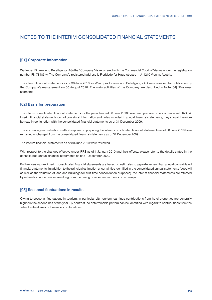# NOTES TO THE INTERIM CONSOLIDATED FINANCIAL STATEMENTS

# **[01] Corporate information**

Warimpex Finanz- und Beteiligungs AG (the "Company") is registered with the Commercial Court of Vienna under the registration number FN 78485 w. The Company's registered address is Floridsdorfer Hauptstrasse 1, A-1210 Vienna, Austria.

The interim financial statements as of 30 June 2010 for Warimpex Finanz- und Beteiligungs AG were released for publication by the Company's management on 30 August 2010. The main activities of the Company are described in Note [04] "Business segments".

### **[02] Basis for preparation**

The interim consolidated financial statements for the period ended 30 June 2010 have been prepared in accordance with IAS 34. Interim financial statements do not contain all information and notes included in annual financial statements; they should therefore be read in conjunction with the consolidated financial statements as of 31 December 2009.

The accounting and valuation methods applied in preparing the interim consolidated financial statements as of 30 June 2010 have remained unchanged from the consolidated financial statements as of 31 December 2009.

The interim financial statements as of 30 June 2010 were reviewed.

With respect to the changes effective under IFRS as of 1 January 2010 and their effects, please refer to the details stated in the consolidated annual financial statements as of 31 December 2009.

By their very nature, interim consolidated financial statements are based on estimates to a greater extent than annual consolidated financial statements. In addition to the principal estimation uncertainties identified in the consolidated annual statements (goodwill as well as the valuation of land and buildings for first-time consolidation purposes), the interim financial statements are affected by estimation uncertainties resulting from the timing of asset impairments or write-ups.

### **[03] Seasonal fluctuations in results**

Owing to seasonal fluctuations in tourism, in particular city tourism, earnings contributions from hotel properties are generally higher in the second half of the year. By contrast, no determinable pattern can be identified with regard to contributions from the sale of subsidiaries or business combinations.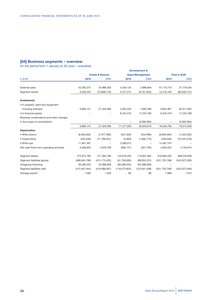# **[04] Business segments – overview**

|                                          | <b>Development &amp;</b>    |                 |                         |                 |                     |                |  |
|------------------------------------------|-----------------------------|-----------------|-------------------------|-----------------|---------------------|----------------|--|
|                                          | <b>Hotels &amp; Resorts</b> |                 | <b>Asset Management</b> |                 | <b>Total in EUR</b> |                |  |
| in EUR                                   | 2010                        | 2009            | 2010                    | 2009            | 2010                | 2009           |  |
| <b>External sales</b>                    | 42,592,575                  | 34,888,358      | 4,526,135               | 2,889,846       | 47,118,710          | 37,778,204     |  |
| Segment results                          | 9,039,234                   | (75,868,778)    | 4,377,212               | (6, 761, 953)   | 13,416,446          | (82, 630, 731) |  |
| <b>Investments</b>                       |                             |                 |                         |                 |                     |                |  |
| • In property, plant and equipment       |                             |                 |                         |                 |                     |                |  |
| including software                       | 6,669,147                   | 57,329,566      | 2,955,240               | 7,682,266       | 9,624,387           | 65,011,832     |  |
| • In financial assets                    |                             |                 | 8,422,319               | 17,255,799      | 8,422,319           | 17,255,799     |  |
| Business combinations and other changes  |                             |                 |                         |                 |                     |                |  |
| in the scope of consolidation            |                             |                 |                         | (3,992,995)     |                     | (3,992,995)    |  |
|                                          | 6,669,147                   | 57,329,566      | 11,377,559              | 20,945,070      | 18.046.706          | 78,274,636     |  |
| <b>Depreciation</b>                      |                             |                 |                         |                 |                     |                |  |
| • Write-downs                            | (9,363,082)                 | (7,077,096)     | (537,002)               | (244, 996)      | (9,900,084)         | (7, 322, 092)  |  |
| • Impairments                            | (343,046)                   | (71, 768, 301)  | (5,000)                 | (1,665,775)     | (348,046)           | (73, 434, 076) |  |
| • Write-ups                              | 11,901,361                  |                 | 2,566,013               |                 | 14,467,374          |                |  |
| Net cash flows from operating activities | 5,406,653                   | 4,026,708       | (806, 131)              | (261, 794)      | 4,600,522           | 3,764,914      |  |
| Segment assets                           | 475,975,790                 | 471,583,788     | 143,018,430             | 116,661,852     | 618,994,220         | 588,245,639    |  |
| Segment liabilities (gross)              | (469, 942, 199)             | (474, 175, 425) | (61, 793, 600)          | (68, 852, 201)  | (531, 735, 799)     | (543,027,626)  |  |
| Intragroup financing                     | 56,480,255                  | 55,088,828      | (56, 480, 255)          | (55,088,828)    |                     |                |  |
| Segment liabilities (net)                | (413, 461, 944)             | (419,086,597)   | (118, 273, 855)         | (123, 941, 028) | (531, 735, 799)     | (543,027,626)  |  |
| Average payroll                          | 1,585                       | 1,456           | 83                      | 86              | 1,668               | 1,542          |  |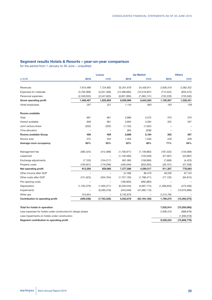# **Segment results Hotels & Resorts – year-on-year comparison**

|                                                             |             | <b>Up-Market</b><br><b>Luxury</b> |                |                | <b>Others</b> |                |
|-------------------------------------------------------------|-------------|-----------------------------------|----------------|----------------|---------------|----------------|
| in EUR                                                      | 2010        | 2009                              | 2010           | 2009           | 2010          | 2009           |
| Revenues                                                    |             |                                   |                |                |               |                |
|                                                             | 7,610,488   | 7,724,802                         | 32,301,679     | 24,426,911     | 2,636,318     | 2,582,422      |
| <b>Expenses for materials</b>                               | (3,762,068) | (3,551,306)                       | (13, 489, 695) | (10,518,907)   | (713, 522)    | (833, 472)     |
| Personnel expenses                                          | (2,349,933) | (2,547,603)                       | (8,851,995)    | (7,065,741)    | (732, 229)    | (720, 500)     |
| <b>Gross operating profit</b>                               | 1,498,487   | 1,625,893                         | 9,959,989      | 6,842,263      | 1,190,567     | 1,028,451      |
| Hotel employees                                             | 267         | 321                               | 1,144          | 963            | 163           | 158            |
| Rooms available                                             |             |                                   |                |                |               |                |
| Total                                                       | 661         | 661                               | 3,986          | 3,572          | 370           | 370            |
| thereof available                                           | 658         | 661                               | 3,905          | 3,394          | 352           | 357            |
| Joint venture share                                         | (202)       | (202)                             | (1, 132)       | (1,022)        |               |                |
| Time allocation                                             |             | $\qquad \qquad -$                 | (84)           | (208)          |               |                |
| Rooms available Group                                       | 456         | 459                               | 2,688          | 2,164          | 352           | 357            |
| Rooms sold                                                  | 272         | 252                               | 1,405          | 1,046          | 249           | 228            |
| Average room occupancy                                      | 60%         | 55%                               | 52%            | 48%            | 71%           | 64%            |
| Management fee                                              | (385, 424)  | (412, 389)                        | (1,700,971)    | (1, 139, 883)  | (187, 322)    | (134,009)      |
| Lease/rent                                                  |             |                                   | (1, 146, 460)  | (120, 049)     | (57, 567)     | (53, 987)      |
| Exchange adjustments                                        | (7, 103)    | (104, 217)                        | 691,085        | (158,960)      | (7,669)       | (4, 423)       |
| Property costs                                              | (193, 651)  | (179, 299)                        | (426, 046)     | (832, 855)     | (26, 701)     | (57, 338)      |
| Net operating profit                                        | 912,309     | 929,988                           | 7,377,596      | 4,590,517      | 911,307       | 778,693        |
| Other income after GOP                                      | L.          | $\equiv$                          | (4, 168)       | 86,479         | 48,258        | 67,743         |
| Other costs after GOP                                       | (151, 623)  | (204, 764)                        | (1,757,130)    | (1,798,471)    | (77, 132)     | (94, 815)      |
| Pre-opening costs                                           |             |                                   | (196, 905)     | (692, 883)     |               |                |
| Depreciation                                                | (1,794,379) | (1,903,271)                       | (6, 259, 545)  | (4,697,715)    | (1,308,953)   | (473,300)      |
| Impairments                                                 |             | (6, 585, 278)                     | (343,046)      | (47, 682, 110) |               | (15,670,896)   |
| Write-ups                                                   | 724,654     |                                   | 6,735,876      |                | 2,215,795     |                |
| Contribution to operating profit                            | (309, 038)  | (7,763,325)                       | 5,552,678      | (50, 194, 183) | 1,789,275     | (15, 392, 575) |
| Total for hotels in operation                               |             |                                   |                |                | 7,032,914     | (73, 350, 082) |
| Less expenses for hotels under construction/in design phase |             |                                   |                |                | 2,006,319     | (688, 679)     |
| Less impairments on hotels under construction               |             |                                   |                |                |               | (1,830,018)    |
| Segment contribution to operating profit                    |             |                                   |                |                | 9,039,234     | (75,868,778)   |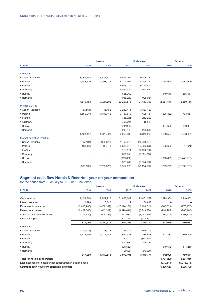|                             |            | Luxury                   |            | <b>Up-Market</b> |           | <b>Others</b>  |  |
|-----------------------------|------------|--------------------------|------------|------------------|-----------|----------------|--|
| in EUR                      | 2010       | 2009                     | 2010       | 2009             | 2010      | 2009           |  |
| thereof in                  |            |                          |            |                  |           |                |  |
| • Czech Republic            | 3,061,958  | 3,631,730                | 9,517,104  | 9,806,160        |           |                |  |
| • Poland                    | 4,548,529  | 4,093,072                | 8,201,366  | 4,898,242        | 1,734,900 | 1,783,649      |  |
| • France                    |            |                          | 6,973,112  | 6,160,471        |           |                |  |
| • Germany                   |            |                          | 5,894,339  | 2,552,592        |           |                |  |
| • Russia                    |            |                          | 655,362    |                  | 949,676   | 866,517        |  |
| • Romania                   |            |                          | 1,056,229  | 1,095,924        |           |                |  |
|                             | 7,610,488  | 7,724,802                | 32,297,511 | 24,513,390       | 2,684,576 | 2,650,166      |  |
| thereof GOP in              |            |                          |            |                  |           |                |  |
| • Czech Republic            | (161, 561) | 145,452                  | 3,252,411  | 3,587,463        |           |                |  |
| • Poland                    | 1,660,048  | 1,480,442                | 3,157,670  | 1,608,451        | 695,882   | 708,064        |  |
| • France                    |            |                          | 1,788,025  | 1,212,203        |           |                |  |
| • Germany                   |            |                          | 1,701,397  | 155,511          |           |                |  |
| • Russia                    |            |                          | (182, 963) |                  | 494,685   | 320,387        |  |
| • Romania                   |            |                          | 243,449    | 278,636          |           |                |  |
|                             | 1,498,487  | 1,625,893                | 9,959,989  | 6,842,263        | 1,190,567 | 1,028,451      |  |
| thereof operating result in |            |                          |            |                  |           |                |  |
| • Czech Republic            | (497, 194) | (7,855,672)              | 1,406,072  | (21, 923, 294)   |           |                |  |
| • Poland                    | 188,156    | 92,348                   | 3,608,213  | (15, 566, 478)   | 125,639   | 47,640         |  |
| • France                    |            |                          | 123,171    | (1,428,288)      |           |                |  |
| • Germany                   |            |                          | 651,055    | (6,001,616)      |           |                |  |
| • Russia                    |            | $\overline{\phantom{0}}$ | (609, 602) |                  | 1,663,635 | (15, 440, 215) |  |
| • Romania                   |            | $\overline{\phantom{0}}$ | 373,769    | (5,274,508)      |           |                |  |
|                             | (309, 038) | (7,763,325)              | 5,552,678  | (50, 194, 183)   | 1,789,275 | (15, 392, 575) |  |

# **Segment cash flow Hotels & Resorts – year-on-year comparison**

|                                                             | Luxury      |             | <b>Up-Market</b> |                | <b>Others</b> |               |
|-------------------------------------------------------------|-------------|-------------|------------------|----------------|---------------|---------------|
| in EUR                                                      | 2010        | 2009        | 2010             | 2009           | 2010          | 2009          |
| Cash receipts                                               | 7,454,760   | 7,849,216   | 31,830,047       | 23,461,552     | 2,699,984     | 2,440,652     |
| Interest received                                           | 10,298      | 8,346       | 119              | 36,898         |               |               |
| Expenses for materials                                      | (3,915,985) | (3,458,347) | (17, 176, 160)   | (10, 408, 745) | (867, 529)    | (773, 170)    |
| Personnel expenses                                          | (2,427,565) | (2,643,317) | (8,998,016)      | (6,743,588)    | (791, 995)    | (783, 100)    |
| Cash paid for other expenses                                | (304, 429)  | (605, 383)  | (1,477,031)      | (2,041,955)    | (97, 534)     | (103, 711)    |
| Income tax paid                                             |             |             | (201, 764)       | (933, 391)     |               |               |
|                                                             | 817,080     | 1,150,515   | 3,977,195        | 3,370,771      | 942,926       | 780,671       |
| thereof in                                                  |             |             |                  |                |               |               |
| • Czech Republic                                            | (301, 517)  | 133,233     | 1,766,072        | 1,026,379      |               |               |
| • Poland                                                    | 1,118,596   | 1,017,282   | 659,383          | 1,485,518      | 423,383       | 366,405       |
| • France                                                    |             |             | 1,220,110        | (391, 494)     |               |               |
| • Germany                                                   |             |             | 872,890          | 1,346,369      |               |               |
| • Russia                                                    |             | -           | (538, 562)       |                | 519,542       | 414,266       |
| • Romania                                                   |             |             | (2,699)          | (96,000)       |               |               |
|                                                             | 817,080     | 1,150,515   | 3,977,195        | 3,370,771      | 942,926       | 780,671       |
| Total for hotels in operation                               |             |             |                  |                | 5,737,200     | 5,301,956     |
| Less expenses for hotels under construction/in design phase |             |             |                  |                | (330, 548)    | (1, 275, 248) |
| Segment cash flow from operating activities                 |             |             |                  |                | 5,406,653     | 4,026,708     |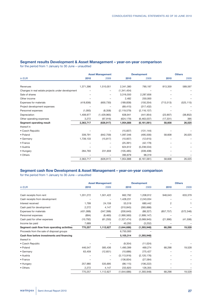# **Segment results Development & Asset Management – year-on-year comparison**

for the period from 1 January to 30 June – unaudited

| 2010<br>2009<br>in EUR<br>2009<br>2010<br>2010<br>1,371,396<br>1,510,051<br>790,197<br>813,359<br>Revenues<br>2,341,380<br>(1, 341, 454)<br>Changes in real estate projects under development<br>3,316,550<br>2,287,656<br>Sale of shares<br>Other income<br>2,482<br>250,000<br>Expenses for materials<br>(418, 836)<br>(600, 730)<br>(189, 838)<br>(150, 354)<br>(713, 513)<br>Project development expenses<br>(69, 415)<br>(317, 432)<br>Personnel expenses<br>(1,093)<br>(8,358)<br>(2, 119, 579)<br>(2, 116, 137)<br>1,408,977<br>(1,429,965)<br>638,941<br>Depreciation<br>(441, 954)<br>(23,907)<br>Other operating expenses<br>3,272<br>(97, 916)<br>(624, 179)<br>(6,463,037)<br>(17, 331)<br>2,363,717<br>(626, 917)<br>(6, 161, 061)<br>58,608<br>Segment operating result<br>1,954,888<br>thereof in<br>• Czech Republic<br>(15, 837)<br>(131, 144)<br>• Poland<br>339,791<br>(842, 759)<br>1,097,046<br>(495, 500)<br>58,608<br>• Germany<br>1,739,133<br>(15, 817)<br>(10, 937)<br>(12, 615)<br>(25, 391)<br>• France<br>(42, 179)<br>• Austria<br>624,612<br>(5,238,534) | <b>Asset Management</b> |  | <b>Development</b> | <b>Others</b> |            |  |
|-----------------------------------------------------------------------------------------------------------------------------------------------------------------------------------------------------------------------------------------------------------------------------------------------------------------------------------------------------------------------------------------------------------------------------------------------------------------------------------------------------------------------------------------------------------------------------------------------------------------------------------------------------------------------------------------------------------------------------------------------------------------------------------------------------------------------------------------------------------------------------------------------------------------------------------------------------------------------------------------------------------------------------------------------------------------------------------------|-------------------------|--|--------------------|---------------|------------|--|
|                                                                                                                                                                                                                                                                                                                                                                                                                                                                                                                                                                                                                                                                                                                                                                                                                                                                                                                                                                                                                                                                                         |                         |  |                    |               | 2009       |  |
|                                                                                                                                                                                                                                                                                                                                                                                                                                                                                                                                                                                                                                                                                                                                                                                                                                                                                                                                                                                                                                                                                         |                         |  |                    |               | 589,597    |  |
|                                                                                                                                                                                                                                                                                                                                                                                                                                                                                                                                                                                                                                                                                                                                                                                                                                                                                                                                                                                                                                                                                         |                         |  |                    |               |            |  |
|                                                                                                                                                                                                                                                                                                                                                                                                                                                                                                                                                                                                                                                                                                                                                                                                                                                                                                                                                                                                                                                                                         |                         |  |                    |               |            |  |
|                                                                                                                                                                                                                                                                                                                                                                                                                                                                                                                                                                                                                                                                                                                                                                                                                                                                                                                                                                                                                                                                                         |                         |  |                    |               |            |  |
|                                                                                                                                                                                                                                                                                                                                                                                                                                                                                                                                                                                                                                                                                                                                                                                                                                                                                                                                                                                                                                                                                         |                         |  |                    |               | (525, 115) |  |
|                                                                                                                                                                                                                                                                                                                                                                                                                                                                                                                                                                                                                                                                                                                                                                                                                                                                                                                                                                                                                                                                                         |                         |  |                    |               |            |  |
|                                                                                                                                                                                                                                                                                                                                                                                                                                                                                                                                                                                                                                                                                                                                                                                                                                                                                                                                                                                                                                                                                         |                         |  |                    |               |            |  |
|                                                                                                                                                                                                                                                                                                                                                                                                                                                                                                                                                                                                                                                                                                                                                                                                                                                                                                                                                                                                                                                                                         |                         |  |                    |               | (38, 852)  |  |
|                                                                                                                                                                                                                                                                                                                                                                                                                                                                                                                                                                                                                                                                                                                                                                                                                                                                                                                                                                                                                                                                                         |                         |  |                    |               | 395        |  |
|                                                                                                                                                                                                                                                                                                                                                                                                                                                                                                                                                                                                                                                                                                                                                                                                                                                                                                                                                                                                                                                                                         |                         |  |                    |               | 26,025     |  |
|                                                                                                                                                                                                                                                                                                                                                                                                                                                                                                                                                                                                                                                                                                                                                                                                                                                                                                                                                                                                                                                                                         |                         |  |                    |               |            |  |
|                                                                                                                                                                                                                                                                                                                                                                                                                                                                                                                                                                                                                                                                                                                                                                                                                                                                                                                                                                                                                                                                                         |                         |  |                    |               |            |  |
|                                                                                                                                                                                                                                                                                                                                                                                                                                                                                                                                                                                                                                                                                                                                                                                                                                                                                                                                                                                                                                                                                         |                         |  |                    |               | 26,025     |  |
|                                                                                                                                                                                                                                                                                                                                                                                                                                                                                                                                                                                                                                                                                                                                                                                                                                                                                                                                                                                                                                                                                         |                         |  |                    |               |            |  |
|                                                                                                                                                                                                                                                                                                                                                                                                                                                                                                                                                                                                                                                                                                                                                                                                                                                                                                                                                                                                                                                                                         |                         |  |                    |               |            |  |
|                                                                                                                                                                                                                                                                                                                                                                                                                                                                                                                                                                                                                                                                                                                                                                                                                                                                                                                                                                                                                                                                                         |                         |  |                    |               |            |  |
| 284,793<br>231,659<br>(339, 408)<br>• Hungary<br>(105, 485)                                                                                                                                                                                                                                                                                                                                                                                                                                                                                                                                                                                                                                                                                                                                                                                                                                                                                                                                                                                                                             |                         |  |                    |               |            |  |
| • Others<br>390,879<br>98,319                                                                                                                                                                                                                                                                                                                                                                                                                                                                                                                                                                                                                                                                                                                                                                                                                                                                                                                                                                                                                                                           |                         |  |                    |               |            |  |
| 2,363,717<br>(626, 917)<br>1,954,888<br>(6, 161, 061)<br>58,608                                                                                                                                                                                                                                                                                                                                                                                                                                                                                                                                                                                                                                                                                                                                                                                                                                                                                                                                                                                                                         |                         |  |                    |               | 26,025     |  |

# **Segment cash flow Development & Asset Management – year-on-year comparison**

|                                             | <b>Asset Management</b> |            |               | <b>Development</b> | <b>Others</b> |            |  |
|---------------------------------------------|-------------------------|------------|---------------|--------------------|---------------|------------|--|
| in EUR                                      | 2010                    | 2009       | 2010          | 2009               | 2010          | 2009       |  |
| Cash receipts from rent                     | 1,201,272               | 1,501,422  | 662,792       | 1,208,912          | 948,043       | 633,379    |  |
| Cash receipts from development              |                         |            | 1,428,231     | 2,243,034          |               |            |  |
| Interest received                           | 1.799                   | 24,159     | 53,519        | 680,442            | 2             |            |  |
| Cash paid for development                   | 2,272                   | 4,147      | (310, 845)    | (365, 666)         |               |            |  |
| <b>Expenses for materials</b>               | (431,088)               | (347, 398) | (200, 640)    | (88, 327)          | (857, 757)    | (572, 346) |  |
| Personnel expenses                          | (894)                   | (8,460)    | (1,990,560)   | (1,999,147)        |               |            |  |
| Cash paid for other expenses                | (10, 792)               | (61, 250)  | (1,327,474)   | (3,069,945)        | (21,990)      | (41,506)   |  |
| Income tax paid                             | 7,689                   | 7          | 40,293        | (3,252)            |               |            |  |
| Segment cash flow from operating activities | 770,257                 | 1,112,627  | (1,644,686)   | (1, 393, 948)      | 68,298        | 19,528     |  |
| Proceeds from the sale of disposal groups   |                         |            | 6,750,000     |                    |               |            |  |
| Cash flow before investments and financing  |                         |            | 5,105,314     | (1, 393, 948)      |               |            |  |
| thereof in                                  |                         |            |               |                    |               |            |  |
| • Czech Republic                            |                         |            | (9, 354)      | (11, 024)          |               |            |  |
| • Poland                                    | 446,547                 | 585,436    | 1,490,399     | 469,274            | 68,298        | 19,528     |  |
| • Germany                                   | 63,459                  | (12,651)   | (10,686)      | 275,427            |               |            |  |
| • Austria                                   |                         |            | (3, 113, 916) | (2, 120, 176)      |               |            |  |
| • France                                    |                         |            | (136, 834)    | (27, 584)          |               |            |  |
| • Hungary                                   | 257,980                 | 535,695    | (98, 115)     | (106, 222)         |               |            |  |
| • Others                                    | 2,272                   | 4,147      | 233,820       | 126,355            |               |            |  |
|                                             | 770,257                 | 1,112,627  | (1,644,686)   | (1, 393, 948)      | 68,298        | 19,528     |  |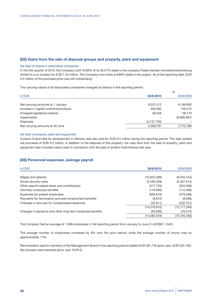### **[05] Gains from the sale of disposal groups and property, plant and equipment**

### 5a) Sale of shares in associated companies

In the first quarter of 2010, the Company sold 16.69% of its 26.57% stake in the company Palais Hansen Immobilienentwicklung GmbH to a co-investor for EUR 7.25 million. The Company now holds a 9.88% stake in the project. As of the reporting date, EUR 0.5 million of the purchase price was still outstanding.

The carrying values of all associated companies changed as follows in the reporting period:

|                                         | at            |             |  |  |
|-----------------------------------------|---------------|-------------|--|--|
| in EUR                                  | 30/6/2010     | 30/6/2009   |  |  |
|                                         |               |             |  |  |
| Net carrying amounts at 1 January       | 9,337,412     | 9,189,950   |  |  |
| Increase in capital contributions/loans | 350,562       | 156,015     |  |  |
| Charged/capitalized interest            | 39,558        | 58,719      |  |  |
| Impairments                             |               | (6,690,887) |  |  |
| <b>Disposals</b>                        | (4, 137, 736) |             |  |  |
| Net carrying amounts at 30 June         | 5,589,797     | 2,713,796   |  |  |

### 5b) Sale of property, plant and equipment

A piece of land held for development in Warsaw was also sold for EUR 0.5 million during the reporting period. This sale yielded net proceeds of EUR 0.2 million. In addition to the disposal of this property, the cash flow from the sale of property, plant and equipment also includes claims paid in connection with the sale of andel's hotel Krakow last year.

### **[06] Personnel expenses, average payroll**

| in EUR                                                    | 30/6/2010      | 30/6/2009      |
|-----------------------------------------------------------|----------------|----------------|
| Wages and salaries                                        | (10,922,269)   | (9,542,444)    |
| Social security costs                                     | (2,430,228)    | (2, 287, 614)  |
| Other payroll-related taxes and contributions             | (377, 720)     | (354, 056)     |
| Voluntary employee benefits                               | (116,000)      | (112, 496)     |
| Expenses for posted employees                             | (628, 810)     | (579, 286)     |
| Payments for termination and post-employment benefits     | (8, 872)       | (8,698)        |
| Changes in accruals for compensated absences              | (32, 911)      | (232, 751)     |
|                                                           | (14, 516, 810) | (13, 117, 346) |
| Changes in pensions and other long-term employee benefits | (65, 868)      | (76, 414)      |
|                                                           | (14, 582, 678) | (13, 193, 760) |

The Company had an average of 1,668 employees in the reporting period from January to June (1–6/2009: 1,542).

The average number of employees increased by 8% over the prior period, while the average number of rooms rose by approximately 17%.

Remuneration paid to members of the Management Board in the reporting period totalled EUR 491,100 (prior year: EUR 522,135). No bonuses were awarded (prior year: EUR 0).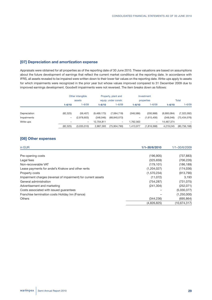# **[07] Depreciation and amortization expense**

Appraisals were obtained for all properties as of the reporting date of 30 June 2010. These valuations are based on assumptions about the future development of earnings that reflect the current market conditions at the reporting date. In accordance with IFRS, all assets revealed to be impaired were written down to their lower fair values on the reporting date. Write-ups apply to assets for which impairments were recognized in the prior year but whose values improved compared to 31 December 2009 due to improved earnings development. Goodwill impairments were not reversed. The item breaks down as follows:

|              |            | Other intangible | Property, plant and  |                          | Investment |                   |              |                |
|--------------|------------|------------------|----------------------|--------------------------|------------|-------------------|--------------|----------------|
|              | assets     |                  | equip. under constr. |                          | properties |                   | <b>Total</b> |                |
|              | $1 - 6/10$ | $1 - 6/09$       | $1 - 6/10$           | $1 - 6/09$               | $1 - 6/10$ | $1 - 6/09$        | $1 - 6/10$   | $1 - 6/09$     |
| Depreciation | (82, 325)  | (56, 407)        | (9,469,173)          | (7,064,718)              | (348, 586) | (200, 968)        | (9,900,084)  | (7,322,092)    |
| Impairments  | -          | (2,978,603)      | (348,046)            | (68, 840, 073)           | -          | (1,615,400)       | (348,046)    | (73, 434, 076) |
| Write-ups    |            | -                | 12.704.811           | $\overline{\phantom{m}}$ | 1.762.563  | $\qquad \qquad -$ | 14,467,374   |                |
|              | (82, 325)  | (3,035,010)      | 2,887,593            | (75,904,790)             | 1,413,977  | (1,816,368)       | 4,219,245    | (80, 756, 168) |

# **[08] Other expenses**

| in EUR                                                         | 1/1-30/6/2010 | 1/1-30/6/2009 |
|----------------------------------------------------------------|---------------|---------------|
| Pre-opening costs                                              | (196, 905)    | (737, 883)    |
| Legal fees                                                     | (325, 659)    | (706, 226)    |
| Non-recoverable VAT                                            | (179, 101)    | (186, 189)    |
| Lease payments for andel's Krakow and other rents              | (1,204,027)   | (174, 036)    |
| Property costs                                                 | (1,570,234)   | (913, 790)    |
| Impairment charges (reversal of impairment) for current assets | (11,072)      | 3,193         |
| General administration                                         | (754, 287)    | (731, 075)    |
| Advertisement and marketing                                    | (241, 304)    | (252, 071)    |
| Costs associated with issued guarantees                        |               | (5,030,377)   |
| Franchise termination costs Holiday Inn (France)               |               | (1,250,000)   |
| <b>Others</b>                                                  | (344, 236)    | (695, 864)    |
|                                                                | (4,826,825)   | (10,674,317)  |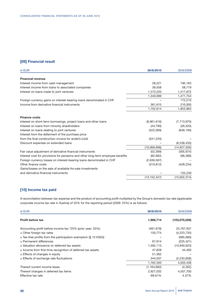# **[09] Financial result**

| in EUR                                                                          | 30/6/2010      | 30/6/2009      |
|---------------------------------------------------------------------------------|----------------|----------------|
| <b>Financial revenue</b>                                                        |                |                |
| Interest income from cash management                                            | 28,221         | 195,163        |
| Interest income from loans to associated companies                              | 39,558         | 58,719         |
| Interest on loans made to joint ventures                                        | 1,273,220      | 1,217,872      |
|                                                                                 | 1,340,999      | 1,471,754      |
| Foreign currency gains on interest-bearing loans denominated in CHF             |                | 172,210        |
| Income from derivative financial instruments                                    | 361,615        | 210,000        |
|                                                                                 | 1,702,614      | 1,853,963      |
| <b>Finance costs</b>                                                            |                |                |
| Interest on short-term borrowings, project loans and other loans                | (8,961,616)    | (7,713,970)    |
| Interest on loans from minority shareholders                                    | (44, 790)      | (26, 520)      |
| Interest on loans relating to joint ventures                                    | (522,069)      | (648, 106)     |
| Interest from the deferment of the purchase price                               |                |                |
| from the final construction invoice for andel's <i>kodz</i>                     | (541, 220)     |                |
| Discount expenses on extended loans                                             |                | (6,538,430)    |
|                                                                                 | (10,069,696)   | (14, 927, 026) |
| Fair value adjustment of derivative financial instruments                       | (52, 369)      | (305, 974)     |
| Interest cost for provisions for pensions and other long-term employee benefits | (82, 882)      | (96, 388)      |
| Foreign currency losses on interest-bearing loans denominated in CHF            | (2,636,587)    |                |
| Other finance costs                                                             | (310, 812)     | (428, 234)     |
| Gains/losses on the sale of available-for-sale investments                      |                |                |
| and derivative financial instruments                                            |                | 155,249        |
|                                                                                 | (13, 152, 347) | (15,602,374)   |
|                                                                                 |                |                |

# **[10] Income tax paid**

A reconciliation between tax expense and the product of accounting profit multiplied by the Group's domestic tax rate (applicable corporate income tax rate in Austria) of 25% for the reporting period (2009: 25%) is as follows:

| in EUR                                                              | 30/6/2010     | 30/6/2009     |
|---------------------------------------------------------------------|---------------|---------------|
| <b>Profit before tax</b>                                            | 1,966,714     | (103,070,028) |
| Accounting profit before income tax *25% (prior year: 25%)          | (491, 678)    | 25,767,507    |
| $\pm$ Other foreign tax rates                                       | 150,774       | (4,223,735)   |
| $\pm$ Tax-free profits from the participation exemption (§ 10 KStG) |               | (685, 680)    |
| $\pm$ Permanent differences                                         | 67,914        | (225, 421)    |
| ± Valuation allowance on deferred tax assets                        | 1,592,113     | (13,940,023)  |
| $\pm$ Income from first-time recognition of deferred tax assets     | 47,828        | 44,400        |
| $\pm$ Effects of changes in equity                                  | 51,362        |               |
| $\pm$ Effects of exchange rate fluctuations                         | 344.037       | (2,233,608)   |
|                                                                     | 1,762,350     | 4,503,438     |
| Thereof current income taxes                                        | (1, 164, 682) | (4,262)       |
| Thereof changes in deferred tax items                               | 2,927,032     | 4,507,700     |
| Effective tax rate                                                  | $-89.61%$     | 4.37%         |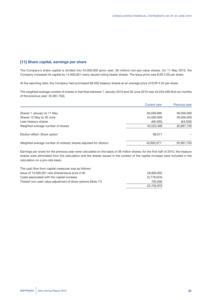### **[11] Share capital, earnings per share**

The Company's share capital is divided into 54,000,000 (prior year: 36 million) non-par-value shares. On 11 May 2010, the Company increased its capital by 14,000,001 newly issued voting bearer shares. The issue price was EUR 2.00 per share.

At the reporting date, the Company had purchased 66,500 treasury shares at an average price of EUR 4.53 per share.

The weighted average number of shares in free float between 1 January 2010 and 30 June 2010 was 43,533,499 (first six months of the previous year: 35,967,750).

|                                                                  | <b>Current year</b> | Previous year |
|------------------------------------------------------------------|---------------------|---------------|
| Shares 1 January to 11 May                                       | 39,599,999          | 36,000,000    |
| Shares 12 May to 30 June                                         | 54,000,000          | 36,000,000    |
| Less treasury shares                                             | (66, 500)           | (64, 500)     |
| Weighted average number of shares                                | 43,533,499          | 35,967,750    |
| Dilution effect: Stock option                                    | 68,571              |               |
| Weighted average number of ordinary shares adjusted for dilution | 43,602,071          | 35,967,750    |

Earnings per share for the previous year were calculated on the basis of 36 million shares; for the first half of 2010, the treasury shares were eliminated from the calculation and the shares issued in the context of the capital increase were included in the calculation on a pro-rata basis.

| The cash flow from capital measures was as follows:          |             |
|--------------------------------------------------------------|-------------|
| Issue of 14,000,001 new shares/issue price 2.00              | 28,800,002  |
| Costs associated with the capital increase                   | (3,778,623) |
| Thereof non-cash value adjustment of stock options (Note 17) | 705.600     |
|                                                              | 25.726.979  |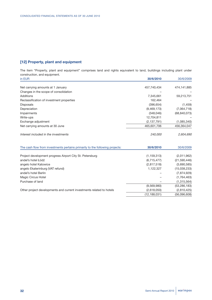# **[12] Property, plant and equipment**

The item "Property, plant and equipment" comprises land and rights equivalent to land, buildings including plant under construction, and equipment.

| in EUR                                                                       | 30/6/2010      | 30/6/2009      |
|------------------------------------------------------------------------------|----------------|----------------|
|                                                                              |                |                |
| Net carrying amounts at 1 January                                            | 457,740,434    | 474,141,885    |
| Changes in the scope of consolidation                                        |                |                |
| Additions                                                                    | 7,345,661      | 59,213,751     |
| Reclassification of investment properties                                    | 162,464        |                |
| Disposals                                                                    | (396, 654)     | (1,459)        |
| Depreciation                                                                 | (9,469,173)    | (7,064,718)    |
| Impairments                                                                  | (348, 046)     | (68, 840, 073) |
| Write-ups                                                                    | 12,704,811     |                |
| Exchange adjustment                                                          | (2, 137, 791)  | (1,085,340)    |
| Net carrying amounts at 30 June                                              | 465,601,706    | 456,364,047    |
| Interest included in the investments                                         | 240,000        | 2,604,690      |
| The cash flow from investments pertains primarily to the following projects: | 30/6/2010      | 30/6/2009      |
| Project development progress Airport City St. Petersburg                     | (1, 159, 313)  | (2,011,962)    |
| andel's hotel Łódź                                                           | (6,715,477)    | (21,590,446)   |
| angelo hotel Katowice                                                        | (2,817,518)    | (3,690,585)    |
| angelo Ekaterinburg (VAT refund)                                             | 1,122,327      | (15,038,233)   |
| andel's hotel Berlin                                                         |                | (7,874,929)    |
| Magic Circus Hotel                                                           |                | (1,764,463)    |
| Purchase of land                                                             |                | (1,315,564)    |
|                                                                              | (9,569,980)    | (53, 286, 183) |
| Other project developments and current investments related to hotels         | (2,618,050)    | (2,810,425)    |
|                                                                              | (12, 188, 031) | (56,096,608)   |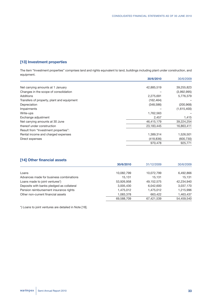# **[13] Investment properties**

The item "Investment properties" comprises land and rights equivalent to land, buildings including plant under construction, and equipment.

| 30/6/2010  | 30/6/2009   |
|------------|-------------|
|            |             |
| 42,885,519 | 39,255,823  |
|            | (3,992,995) |
| 2,275,691  | 5,776,379   |
| (162, 464) |             |
| (348,586)  | (200, 968)  |
|            | (1,615,400) |
| 1,762,563  |             |
| 2,457      | 1,415       |
| 46,415,179 | 39,224,254  |
| 23,183,445 | 16,863,411  |
|            |             |
| 1,389,314  | 1,526,501   |
| (418, 836) | (600, 730)  |
| 970,478    | 925,771     |
|            |             |

# **[14] Other financial assets**

|                                           | 30/6/2010  | 31/12/2009 | 30/6/2009  |
|-------------------------------------------|------------|------------|------------|
| Loans                                     | 10,082,799 | 10,072,799 | 6,492,866  |
| Advances made for business combinations   | 15.131     | 15.131     | 15.131     |
| Loans made to joint ventures*)            | 53,926,958 | 49,152,575 | 42,234,940 |
| Deposits with banks pledged as collateral | 3,005,430  | 6,042,600  | 3,037,170  |
| Pension reimbursement insurance rights    | 1.475.012  | 1,475,012  | 1,215,996  |
| Other non-current financial assets        | 1.083.378  | 663,422    | 1,463,437  |
|                                           | 69,588,709 | 67,421,539 | 54,459,540 |

\*) Loans to joint ventures are detailed in Note [18].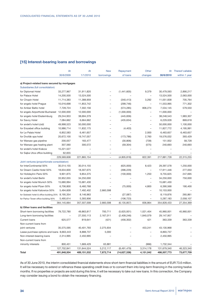# **[15] Interest-bearing loans and borrowings**

|                                               | At          | At          | <b>New</b>               | Repayment     | Other                    | At          | Thereof callable |
|-----------------------------------------------|-------------|-------------|--------------------------|---------------|--------------------------|-------------|------------------|
|                                               | 30/6/2009   | 1/1/2010    | borrowings               | of loans      | changes                  | 30/6/2010   | within 1 year    |
|                                               |             |             |                          |               |                          |             |                  |
| a) Project-related loans secured by mortgages |             |             |                          |               |                          |             |                  |
| Subsidiaries (full consolidation)             |             |             |                          |               |                          |             |                  |
| for Diplomat Hotel                            | 33,277,967  | 31,911,820  |                          | (1,441,605)   | 9,379                    | 30,479,593  | 2,890,217        |
| for Palace Hotel                              | 14,200,500  | 13,524,500  |                          |               |                          | 13,524,500  | 2,063,000        |
| for Chopin Hotel                              | 11,714,383  | 11,388,959  |                          | (340, 413)    | 3,292                    | 11,051,838  | 705,764          |
| for angelo hotel Prague                       | 10,016,698  | 11,853,742  | $\overline{\phantom{0}}$ | (299, 746)    | $\qquad \qquad -$        | 11,553,995  | 771,302          |
| for Amber Baltic hotel                        | 7,728,724   | 7,302,156   | L,                       | (574, 285)    | 806,274                  | 7,534,145   | 579,550          |
| for angelo Airporthotel Bucharest             | 12,000,000  | 12,000,000  |                          | (1,000,000)   |                          | 11,000,000  |                  |
| for angelo hotel Ekaterinburg                 | 29,244,953  | 38,694,379  | $\equiv$                 | (445, 836)    | $\overline{\phantom{0}}$ | 38,248,543  | 1,983,307        |
| for Savoy Hotel                               | 7,084,662   | 6,664,662   |                          | (435, 634)    |                          | 6,229,028   | 869,618          |
| for andel's hotel Łódź                        | 49,998,523  | 50,000,000  |                          |               |                          | 50,000,000  | 1,100,000        |
| for Erszebet office building                  | 10,986,714  | 11,832,175  |                          | (4, 403)      | ÷,                       | 11,827,772  | 4,195,991        |
| for Le Palais Hotel                           | 6,852,583   | 6,461,657   | $\overline{a}$           |               | 2,000                    | 6,463,657   | 6,463,657        |
| for Dvořák spa hotel                          | 20,672,100  | 19,747,057  | L,                       | (173, 786)    | 2,760                    | 19,576,032  | 393,429          |
| for Warsaw gas pipeline                       | 200,057     | 183,477     | ÷                        | (30, 806)     | (739)                    | 151,932     | 58,728           |
| for Warsaw gas heating plant                  | 307,560     | 300,572     |                          | (59, 304)     | (575)                    | 240,693     | 240,693          |
| for andel's hotel Krakow                      | 15,221,527  |             |                          |               |                          |             |                  |
| for Sajka Utca office building                | 62,655      |             | $\overline{\phantom{0}}$ |               |                          |             |                  |
|                                               | 229,569,608 | 221,865,154 | ÷                        | (4,805,818)   | 822,391                  | 217,881,728 | 22,315,255       |
| Joint ventures (proportionate consolidation)  |             |             |                          |               |                          |             |                  |
| for InterContinental 50%                      | 30,514,155  | 30,014,155  | L,                       | (625,000)     | 8,423                    | 29,397,578  | 1,250,000        |
| for Dream Castle Hotel 50%                    | 18,634,600  | 18,307,675  |                          | (396, 229)    |                          | 17,911,446  | 277,050          |
| for HolidayInn Paris 50%                      | 9,901,875   | 9,854,375   |                          | (100,000)     | 1,250                    | 9,755,625   | 247,695          |
| for andel's hotel Berlin                      | 33,952,055  | 34,250,000  |                          |               | $\overline{\phantom{0}}$ | 34,250,000  | 750,000          |
| for angelo hotel Munich 50%                   | 15,680,994  | 15,681,430  |                          |               | $\overline{\phantom{0}}$ | 15,681,430  |                  |
| for angelo hotel Plzen 50%                    | 6,706,800   | 6,460,768   | L,                       | (75,000)      | 4,800                    | 6,390,568   | 190,400          |
| for angelo hotel Katowice 50%                 | 5,494,609   | 7,492,402   | 2,660,598                |               |                          | 10,153,000  |                  |
| for Sobieski hotel & office building 25%      | 8,195,354   | 8,146,963   |                          | (27,087)      | $\sim$                   | 8,119,876   | 265,861          |
|                                               |             | 5,393,906   |                          |               |                          |             |                  |
| for Parkur Tower office building 50%          | 5,495,614   |             |                          | (106, 723)    |                          | 5,287,183   | 2,058,107        |
|                                               | 364,145,664 | 357,507,008 | 2,660,598                | (6, 135, 857) | 836,864                  | 354,828,433 | 27,354,369       |
| b) Other loans and facilities                 |             |             |                          |               |                          |             |                  |
| Short-term borrowing facilities               | 79,722,780  | 49,863,817  | 700,711                  | (5,625,931)   | 1,021,404                | 45,960,001  | 45,960,001       |
| Long-term borrowing facilities                |             | 27,550,113  | 2,167,011                | (2,409,246)   | 1,840,079                | 29,147,957  |                  |
| <b>Current loans</b>                          | 625,577     | 819,641     | (421)                    | (456, 302)    | 421                      | 363,339     | 363,339          |
| Non-current loans from                        |             |             |                          |               |                          |             |                  |
| joint ventures                                | 35,575,595  | 40,401,793  | 2,275,934                |               | 453,241                  | 43,130,968  |                  |
| Lease purchase options and loans 8,663,443    |             | 8,888,737   | 5,000                    |               |                          | 8,893,737   |                  |
| Non-interest-bearing loans                    | 2,314,995   | 2,450,995   |                          |               |                          | 2,450,995   |                  |
| Non-current loans from                        |             |             |                          |               |                          |             |                  |
| minority interests                            | 800,451     | 1,669,429   | 63,881                   |               | (966)                    | 1,732,344   |                  |
|                                               | 127,702,841 | 131,644,524 | 5,212,117                | (8,491,479)   | 3,314,178                | 131,679,340 | 46,323,340       |
| Total                                         | 491,848,504 | 489,151,532 | 7,872,714                | (14,627,336)  | 4,151,042                | 486,507,773 | 73,677,709       |

As of 30 June 2010, the interim consolidated financial statements show short-term financial liabilities in the amount of EUR 73.6 million. It will be necessary to extend or refinance these operating credit lines or to convert them into long-term financing in the coming twelve months. If no properties or projects are sold during this time, it will be necessary to take out new loans. In this connection, the Company may consider issuing a bond to obtain the necessary financing.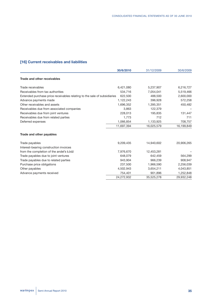# **[16] Current receivables and liabilities**

|                                                                          | 30/6/2010  | 31/12/2009 | 30/6/2009  |
|--------------------------------------------------------------------------|------------|------------|------------|
| Trade and other receivables                                              |            |            |            |
| Trade receivables                                                        | 6,421,080  | 5,237,907  | 6,216,727  |
| Receivables from tax authorities                                         | 534,716    | 7,054,041  | 5,519,466  |
| Extended purchase price receivables relating to the sale of subsidiaries | 622,500    | 488,500    | 2,600,000  |
| Advance payments made                                                    | 1,122,243  | 396,928    | 572,258    |
| Other receivables and assets                                             | 1,696,352  | 1,395,351  | 450,482    |
| Receivables due from associated companies                                | 3,863      | 122,379    |            |
| Receivables due from joint ventures                                      | 228,013    | 195,835    | 131,447    |
| Receivables due from related parties                                     | 1,773      | 712        | 711        |
| Deferred expenses                                                        | 1,066,854  | 1,133,925  | 708,757    |
|                                                                          | 11,697,394 | 16,025,579 | 16,199,849 |
| Trade and other payables                                                 |            |            |            |
| Trade payables                                                           | 9,209,435  | 14,940,602 | 20,906,265 |
| Interest-bearing construction invoices                                   |            |            |            |
| from the completion of the andel's Łódź                                  | 7,976,670  | 12,453,281 |            |
|                                                                          |            |            | 564,299    |
| Trade payables due to related parties                                    | 943,904    | 966,239    | 908,947    |
| Purchase price obligations                                               | 237,500    | 1,966,590  | 2,256,039  |
| Other payables                                                           | 4,502,943  | 3,654,211  | 4,043,851  |
| Advance payments received                                                | 754,401    | 901,896    | 1,252,848  |
|                                                                          | 24,272,932 | 35,525,278 | 29,932,248 |
| Trade payables due to joint ventures                                     | 648,079    | 642,459    |            |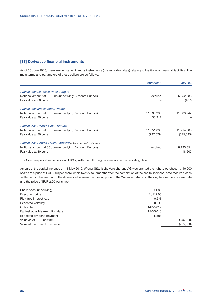# **[17] Derivative financial instruments**

As of 30 June 2010, there are derivative financial instruments (interest rate collars) relating to the Group's financial liabilities. The main terms and parameters of these collars are as follows:

|                                                                      | 30/6/2010  | 30/6/2009  |
|----------------------------------------------------------------------|------------|------------|
| Project Ioan Le Palais Hotel, Prague                                 |            |            |
| Notional amount at 30 June (underlying: 3-month Euribor)             | expired    | 6,852,583  |
| Fair value at 30 June                                                |            | (437)      |
| Project Ioan angelo hotel, Prague                                    |            |            |
| Notional amount at 30 June (underlying: 3-month Euribor)             | 11,533,995 | 11,583,742 |
| Fair value at 30 June                                                | 33,911     |            |
| Project Ioan Chopin Hotel, Krakow                                    |            |            |
| Notional amount at 30 June (underlying: 3-month Euribor)             | 11,051,838 | 11,714,383 |
| Fair value at 30 June                                                | (737, 529) | (375, 645) |
| Project Ioan Sobieski Hotel, Warsaw (adjusted for the Group's share) |            |            |
| Notional amount at 30 June (underlying: 3-month Euribor)             | expired    | 8,195,354  |
| Fair value at 30 June                                                |            | 18.202     |

The Company also held an option (IFRS 2) with the following parameters on the reporting date:

As part of the capital increase on 11 May 2010, Wiener Städtische Versicherung AG was granted the right to purchase 1,440,000 shares at a price of EUR 2.00 per share within twenty-four months after the completion of the capital increase, or to receive a cash settlement in the amount of the difference between the closing price of the Warimpex share on the day before the exercise date and the price of EUR 2.00 per share.

| Share price (underlying)         | EUR 1.83   |
|----------------------------------|------------|
| <b>Execution price</b>           | EUR 2.00   |
| Risk-free interest rate          | 0.6%       |
| Expected volatility              | 50.0%      |
| Option term                      | 14/5/2012  |
| Earliest possible execution date | 15/5/2010  |
| Expected dividend payment        | None       |
| Value as of 30 June 2010         | (345,600)  |
| Value at the time of conclusion  | (705, 600) |
|                                  |            |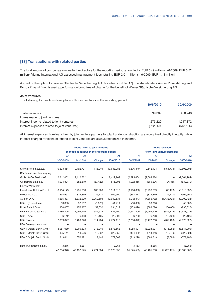# **[18] Transactions with related parties**

The total amount of compensation due to the directors for the reporting period amounted to EUR 0.49 million (1–6/2009: EUR 0.52 million). Vienna International AG assessed management fees totalling EUR 2.01 million (1–6/2009: EUR 1.44 million).

As part of the option for Wiener Städtische Versicherung AG described in Note [17], the shareholders Amber Privatstiftung and Bocca Privatstiftung issued a performance bond free of charge for the benefit of Wiener Städtische Versicherung AG.

### **Joint ventures**

The following transactions took place with joint ventures in the reporting period:

|                                               | 30/6/2010 | 30/6/2009  |
|-----------------------------------------------|-----------|------------|
| Trade revenues                                | 99.369    | 488.746    |
| Loans made to joint ventures                  |           |            |
| Interest income related to joint ventures     | 1,273,220 | 1,217,872  |
| Interest expenses related to joint ventures*) | (522,069) | (648, 106) |

All interest expenses from loans held by joint venture partners for plant under construction are recognized directly in equity, while interest charged for loans extended to joint ventures are always recognized in income.

|                             |            |                                             | Loans given to joint ventures | <b>Loans received</b> |                              |                |             |                |  |
|-----------------------------|------------|---------------------------------------------|-------------------------------|-----------------------|------------------------------|----------------|-------------|----------------|--|
|                             |            | changed as follows in the reporting period: |                               |                       | from joint venture partners: |                |             |                |  |
|                             | At         | At                                          |                               | At                    | At                           | At             |             | At             |  |
|                             | 30/6/2009  | 1/1/2010                                    | Change                        | 30/6/2010             | 30/6/2009                    | 1/1/2010       | Change      | 30/6/2010      |  |
| Sienna Hotel Sp.z.o.o.      | 10,333,454 | 10,492,737                                  | 146,249                       | 10,638,986            | (10, 376, 840)               | (10, 542, 134) | (151, 774)  | (10,693,908)   |  |
| Bürohaus Leuchtenbergring   |            |                                             |                               |                       |                              |                |             |                |  |
| GmbH & Co. Besitz KG        | 2,342,062  | 2,412,762                                   |                               | 2,412,762             | (2, 295, 684)                | (2,364,984)    |             | (2,364,984)    |  |
| GF Ramba Sp.z.o.o.          | 1,004,824  | 852,819                                     | (37, 423)                     | 815,396               | (1,002,856)                  | (869, 236)     | 36,866      | (832, 370)     |  |
| Louvre Warimpex             |            |                                             |                               |                       |                              |                |             |                |  |
| Investment Holding S.a.r.l. | 3,164,149  | 3,751,606                                   | 160,206                       | 3,911,812             | (3, 166, 658)                | (3,756,759)    | (60, 173)   | (3,816,932)    |  |
| Melica Sp.z.o.o.            | 854,952    | 879,869                                     | 25,721                        | 905,590               | (863, 873)                   | (879, 869)     | (25, 721)   | (905, 590)     |  |
| Avielen OAO                 | 11,665,337 | 16,872,929                                  | 3,069,603                     | 19,942,531            | (5,012,343)                  | (7,866,702)    | (1,433,725) | (9,300,428)    |  |
| UBX II (France) s.a.r.l.    | 50,893     | 52,587                                      | (1, 376)                      | 51,211                | (50,000)                     | (50,000)       |             | (50,000)       |  |
| Hotel Paris II S.a.r.l.     | 130,057    | 176,467                                     | 57,852                        | 234,319               | (133,026)                    | (383, 026)     | 150,000     | (233, 026)     |  |
| UBX Katowice Sp.z.o.o.      | 1,580,305  | 1,996,475                                   | 684,625                       | 2,681,100             | (1,571,899)                  | (1,994,910)    | (686, 122)  | (2,681,032)    |  |
| UBX 3 s.r.o.                | 6,142      | 6,488                                       | 16,105                        | 22,593                | (6,700)                      | (6, 703)       | (16, 403)   | (23, 106)      |  |
| UBX Plzen s.r.o.            | 2,339,677  | 2,409,326                                   | 314,784                       | 2,724,110             | (2,356,372)                  | (2,472,213)    | (207, 409)  | (2,679,623)    |  |
| UBX Development s.a.r.l.    |            |                                             |                               |                       |                              |                |             |                |  |
| UBX 1 Objekt Berlin GmbH    | 8,081,089  | 8,260,323                                   | 318,240                       | 8,578,563             | (8,058,521)                  | (8,228,927)    | (315,082)   | (8,544,009)    |  |
| UBX 2 Objekt Berlin GmbH    | 435,141    | 614,506                                     | 12,352                        | 626,858               | (434, 432)                   | (613, 346)     | (12, 249)   | (625, 594)     |  |
| UBX 3 Objekt Berlin GmbH    | 243,641    | 370,421                                     | 7,446                         | 377,867               | (243, 228)                   | (369, 719)     | (7, 383)    | (377, 102)     |  |
|                             |            |                                             |                               |                       |                              |                |             |                |  |
| Hotelinvestments s.a.r.l.   | 3,216      | 3,261                                       |                               | 3,261                 | (3, 163)                     | (3, 265)       |             | (3,265)        |  |
|                             | 42,234,940 | 49,152,575                                  | 4,774,384                     | 53,926,958            | (35,575,595)                 | (40, 401, 793) | (2,729,175) | (43, 130, 968) |  |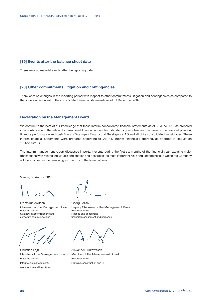# **[19] Events after the balance sheet date**

There were no material events after the reporting date.

### **[20] Other commitments, litigation and contingencies**

There were no changes in the reporting period with respect to other commitments, litigation and contingencies as compared to the situation described in the consolidated financial statements as of 31 December 2009.

### **Declaration by the Management Board**

We confirm to the best of our knowledge that these interim consolidated financial statements as of 30 June 2010 as prepared in accordance with the relevant international financial accounting standards give a true and fair view of the financial position, financial performance and cash flows of Warimpex Finanz- und Beteiligungs AG and all of its consolidated subsidiaries. These interim financial statements were prepared according to IAS 34, Interim Financial Reporting, as adopted in Regulation 1606/2002/EC.

The interim management report discusses important events during the first six months of the financial year, explains major transactions with related individuals and entities and describes the most important risks and uncertainties to which the Company will be exposed in the remaining six months of the financial year.

Vienna, 30 August 2010

Franz Jurkowitsch Georg Folian Responsibilities: Responsibilities: Strategy, investor relations and Finance and accounting corporate communications financial management and personnel



Christian Fojtl **Alexander Jurkowitsch** Responsibilities: Responsibilities: Information management, Planning, construction and IT organization and legal issues

Chairman of the Management Board Deputy Chairman of the Management Board

Member of the Management Board Member of the Management Board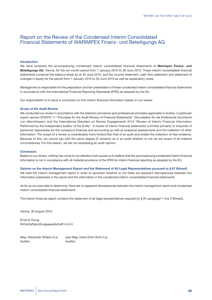# Report on the Review of the Condensed Interim Consolidated Financial Statements of WARIMPEX Finanz- und Beteiligungs AG

#### **Introduction**

We have reviewed the accompanying condensed interim consolidated financial statements of **Warimpex Finanz- und Beteiligungs AG**, Vienna, for the six-month period from 1 January 2010 to 30 June 2010. These interim consolidated financial statements comprise the balance sheet as at 30 June 2010, and the income statement, cash flow statement and statement of changes in equity for the period from 1 January 2010 to 30 June 2010 as well as explanatory notes.

Management is responsible for the preparation and fair presentation of these condensed interim consolidated financial statements in accordance with the International Financial Reporting Standards (IFRS) as adopted by the EU.

Our responsibility is to issue a conclusion on this interim financial information based on our review.

#### **Scope of the Audit Review**

We conducted our review in accordance with the statutory provisions and professional principles applicable in Austria, in particular expert opinion KFS/PG 11 "Principles for the Audit Review of Financial Statements" *(Grundsätze für die Prüferische Durchsicht von Abschlüssen)*, and the International Standard on Review Engagements 2410 "Review of Interim Financial Information Performed by the Independent Auditor of the Entity". A review of interim financial statements is limited primarily to enquiries of personnel responsible for the company's finances and accounting as well as analytical assessments and the collection of other information. The scope of a review is considerably more limited than that of an audit and entails the collection of less evidence. Because of this, we cannot say with the same degree of certainty as in an audit whether or not we are aware of all material circumstances. For this reason, we are not expressing an audit opinion.

#### **Conclusion**

Based on our review, nothing has come to our attention that causes us to believe that the accompanying condensed interim financial information is not in compliance with all material provisions of the IFRS for interim financial reporting as adopted by the EU.

#### Opinion on the Interim Management Report and the Statement of All Legal Representatives pursuant to § 87 BörseG

We read the interim management report in order to ascertain whether or not there are apparent discrepancies between the information presented in the report and the information in the condensed interim consolidated financial statements.

As far as we were able to determine, there are no apparent discrepancies between the interim management report and condensed interim consolidated financial statements.

The interim financial report contains the statement of all legal representatives required by § 87 paragraph 1 line 3 BörseG.

Vienna, 30 August 2010

Ernst & Young Wirtschaftsprüfungsgesellschaft m.b.H.

Mag. Alexander Wlasto m.p. ppa Mag. Hans-Erich Sorli m.p. Auditor Auditor